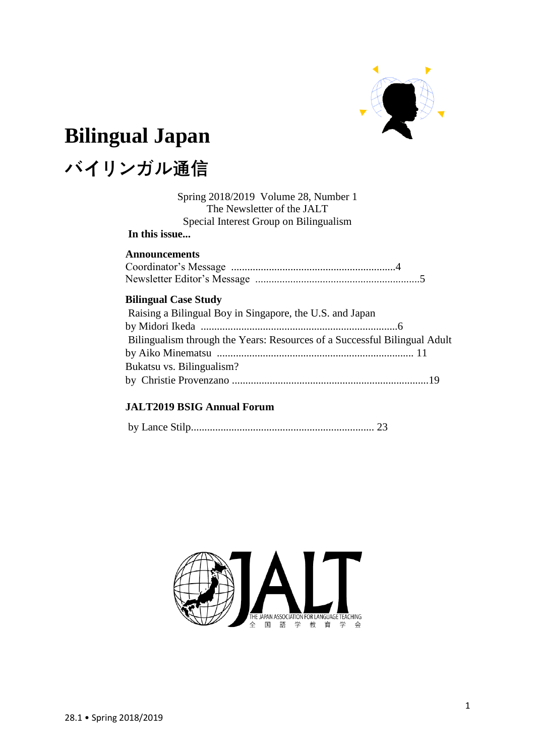

# **Bilingual Japan**

# **バイリンガル通信**

Spring 2018/2019 Volume 28, Number 1 The Newsletter of the JALT Special Interest Group on Bilingualism

# **In this issue...**

## **Announcements**

## **Bilingual Case Study**

| Raising a Bilingual Boy in Singapore, the U.S. and Japan                  |  |
|---------------------------------------------------------------------------|--|
|                                                                           |  |
| Bilingualism through the Years: Resources of a Successful Bilingual Adult |  |
|                                                                           |  |
| Bukatsu vs. Bilingualism?                                                 |  |
|                                                                           |  |
|                                                                           |  |

## **JALT2019 BSIG Annual Forum**

|--|--|--|--|--|

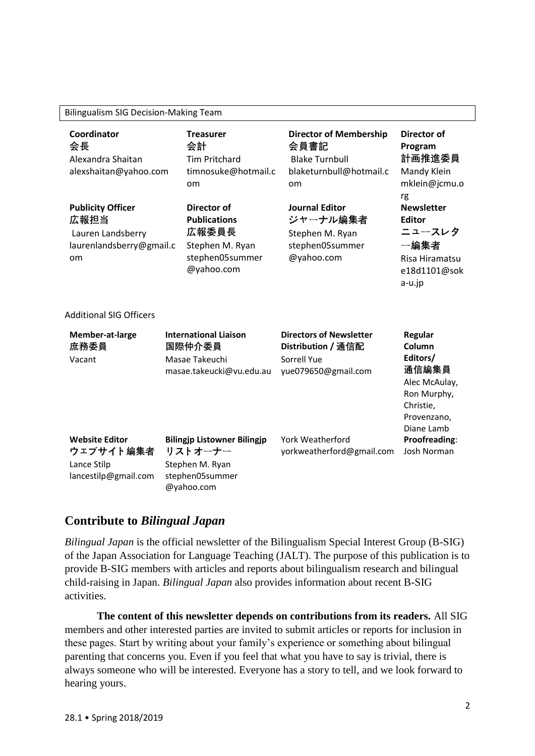| Coordinator<br>会長<br>Alexandra Shaitan<br>alexshaitan@yahoo.com<br><b>Publicity Officer</b><br>広報担当<br>Lauren Landsberry<br>laurenlandsberry@gmail.c<br>om |                                                                                      | <b>Treasurer</b><br>会計<br><b>Tim Pritchard</b><br>timnosuke@hotmail.c<br>om<br>Director of<br><b>Publications</b><br>広報委員長<br>Stephen M. Ryan<br>stephen05summer<br>@yahoo.com |  | <b>Director of Membership</b><br>会員書記<br><b>Blake Turnbull</b><br>blaketurnbull@hotmail.c<br>om | <b>Director of</b><br>Program<br>計画推進委員<br>Mandy Klein<br>mklein@jcmu.o                                                 |
|------------------------------------------------------------------------------------------------------------------------------------------------------------|--------------------------------------------------------------------------------------|--------------------------------------------------------------------------------------------------------------------------------------------------------------------------------|--|-------------------------------------------------------------------------------------------------|-------------------------------------------------------------------------------------------------------------------------|
|                                                                                                                                                            |                                                                                      |                                                                                                                                                                                |  | <b>Journal Editor</b><br>ジャーナル編集者<br>Stephen M. Ryan<br>stephen05summer<br>@yahoo.com           | rg<br><b>Newsletter</b><br><b>Editor</b><br>ニュースレタ<br>一編集者<br>Risa Hiramatsu<br>e18d1101@sok<br>a-u.jp                  |
| <b>Additional SIG Officers</b>                                                                                                                             |                                                                                      |                                                                                                                                                                                |  |                                                                                                 |                                                                                                                         |
| Member-at-large<br>庶務委員<br>Vacant                                                                                                                          | <b>International Liaison</b><br>国際仲介委員<br>Masae Takeuchi<br>masae.takeucki@vu.edu.au |                                                                                                                                                                                |  | <b>Directors of Newsletter</b><br>Distribution / 通信配<br>Sorrell Yue<br>yue079650@gmail.com      | <b>Regular</b><br>Column<br>Editors/<br>通信編集員<br>Alec McAulay,<br>Ron Murphy,<br>Christie,<br>Provenzano,<br>Diane Lamb |
| <b>Website Editor</b><br>ウェブサイト編集者<br>Lance Stilp<br>lancestilp@gmail.com                                                                                  |                                                                                      | <b>Bilingjp Listowner Bilingjp</b><br>リストオーナー<br>Stephen M. Ryan<br>stephen05summer<br>@yahoo.com                                                                              |  | York Weatherford<br>yorkweatherford@gmail.com                                                   | Proofreading:<br>Josh Norman                                                                                            |

# **Contribute to** *Bilingual Japan*

*Bilingual Japan* is the official newsletter of the Bilingualism Special Interest Group (B-SIG) of the Japan Association for Language Teaching (JALT). The purpose of this publication is to provide B-SIG members with articles and reports about bilingualism research and bilingual child-raising in Japan. *Bilingual Japan* also provides information about recent B-SIG activities.

**The content of this newsletter depends on contributions from its readers.** All SIG members and other interested parties are invited to submit articles or reports for inclusion in these pages. Start by writing about your family's experience or something about bilingual parenting that concerns you. Even if you feel that what you have to say is trivial, there is always someone who will be interested. Everyone has a story to tell, and we look forward to hearing yours.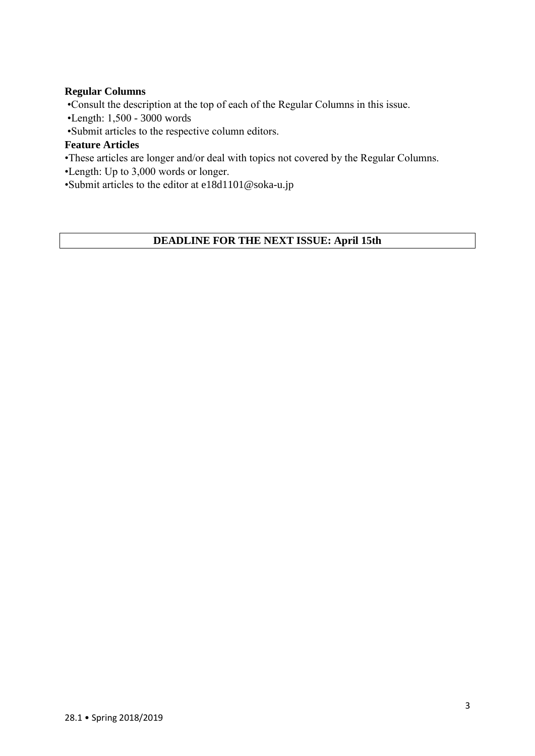## **Regular Columns**

•Consult the description at the top of each of the Regular Columns in this issue.

- •Length: 1,500 3000 words
- •Submit articles to the respective column editors.

## **Feature Articles**

- •These articles are longer and/or deal with topics not covered by the Regular Columns.
- •Length: Up to 3,000 words or longer.

•Submit articles to the editor at e18d1101@soka-u.jp

## **DEADLINE FOR THE NEXT ISSUE: April 15th**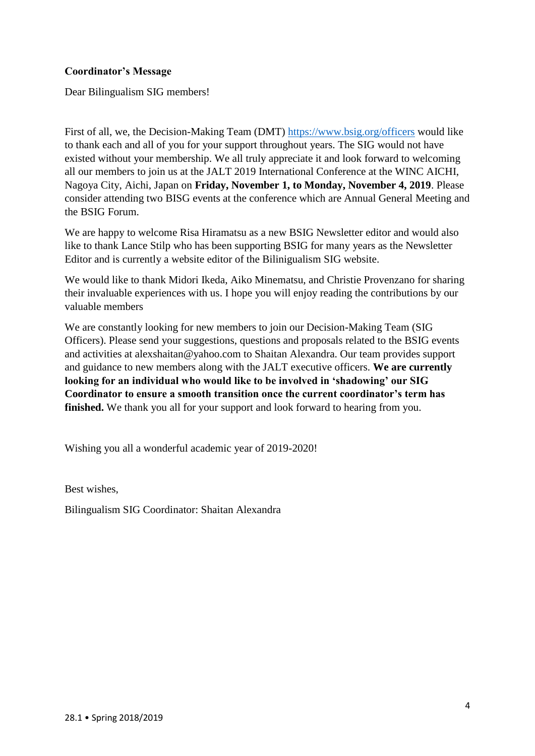## **Coordinator's Message**

Dear Bilingualism SIG members!

First of all, we, the Decision-Making Team (DMT)<https://www.bsig.org/officers> would like to thank each and all of you for your support throughout years. The SIG would not have existed without your membership. We all truly appreciate it and look forward to welcoming all our members to join us at the JALT 2019 International Conference at the WINC AICHI, Nagoya City, Aichi, Japan on **Friday, November 1, to Monday, November 4, 2019**. Please consider attending two BISG events at the conference which are Annual General Meeting and the BSIG Forum.

We are happy to welcome Risa Hiramatsu as a new BSIG Newsletter editor and would also like to thank Lance Stilp who has been supporting BSIG for many years as the Newsletter Editor and is currently a website editor of the Bilinigualism SIG website.

We would like to thank Midori Ikeda, Aiko Minematsu, and Christie Provenzano for sharing their invaluable experiences with us. I hope you will enjoy reading the contributions by our valuable members

We are constantly looking for new members to join our Decision-Making Team (SIG Officers). Please send your suggestions, questions and proposals related to the BSIG events and activities at alexshaitan@yahoo.com to Shaitan Alexandra. Our team provides support and guidance to new members along with the JALT executive officers. **We are currently looking for an individual who would like to be involved in 'shadowing' our SIG Coordinator to ensure a smooth transition once the current coordinator's term has finished.** We thank you all for your support and look forward to hearing from you.

Wishing you all a wonderful academic year of 2019-2020!

Best wishes,

Bilingualism SIG Coordinator: Shaitan Alexandra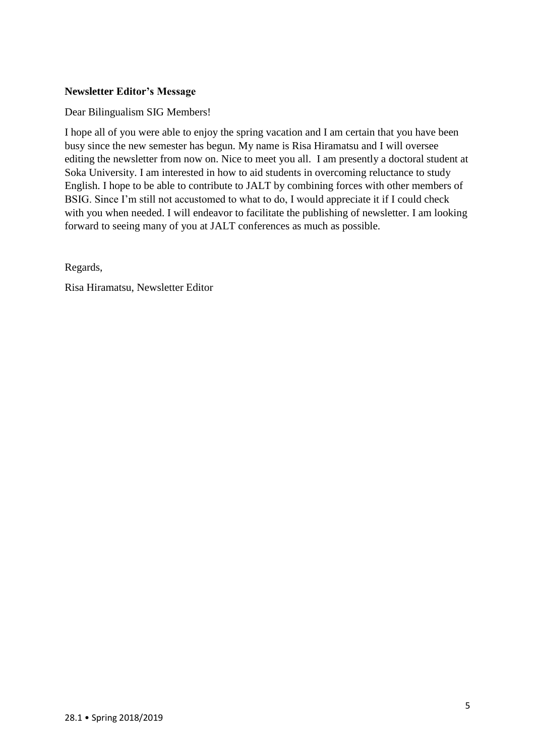## **Newsletter Editor's Message**

Dear Bilingualism SIG Members!

I hope all of you were able to enjoy the spring vacation and I am certain that you have been busy since the new semester has begun. My name is Risa Hiramatsu and I will oversee editing the newsletter from now on. Nice to meet you all. I am presently a doctoral student at Soka University. I am interested in how to aid students in overcoming reluctance to study English. I hope to be able to contribute to JALT by combining forces with other members of BSIG. Since I'm still not accustomed to what to do, I would appreciate it if I could check with you when needed. I will endeavor to facilitate the publishing of newsletter. I am looking forward to seeing many of you at JALT conferences as much as possible.

Regards,

Risa Hiramatsu, Newsletter Editor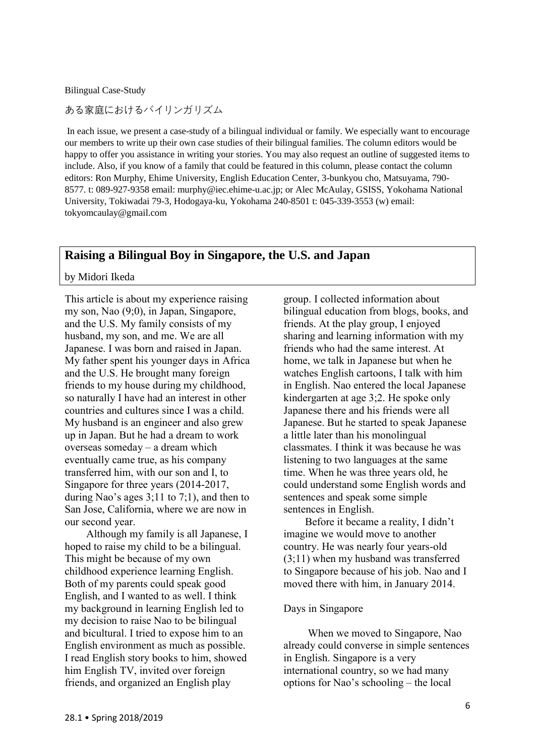Bilingual Case-Study

ある家庭におけるバイリンガリズム

In each issue, we present a case-study of a bilingual individual or family. We especially want to encourage our members to write up their own case studies of their bilingual families. The column editors would be happy to offer you assistance in writing your stories. You may also request an outline of suggested items to include. Also, if you know of a family that could be featured in this column, please contact the column editors: Ron Murphy, Ehime University, English Education Center, 3-bunkyou cho, Matsuyama, 790- 8577. t: 089-927-9358 email: murphy@iec.ehime-u.ac.jp; or Alec McAulay, GSISS, Yokohama National University, Tokiwadai 79-3, Hodogaya-ku, Yokohama 240-8501 t: 045-339-3553 (w) email: [tokyomcaulay@gmail.com](mailto:tokyomcaulay@gmail.com)

## **Raising a Bilingual Boy in Singapore, the U.S. and Japan**

by Midori Ikeda

This article is about my experience raising my son, Nao (9;0), in Japan, Singapore, and the U.S. My family consists of my husband, my son, and me. We are all Japanese. I was born and raised in Japan. My father spent his younger days in Africa and the U.S. He brought many foreign friends to my house during my childhood, so naturally I have had an interest in other countries and cultures since I was a child. My husband is an engineer and also grew up in Japan. But he had a dream to work overseas someday – a dream which eventually came true, as his company transferred him, with our son and I, to Singapore for three years (2014-2017, during Nao's ages 3;11 to 7;1), and then to San Jose, California, where we are now in our second year.

 Although my family is all Japanese, I hoped to raise my child to be a bilingual. This might be because of my own childhood experience learning English. Both of my parents could speak good English, and I wanted to as well. I think my background in learning English led to my decision to raise Nao to be bilingual and bicultural. I tried to expose him to an English environment as much as possible. I read English story books to him, showed him English TV, invited over foreign friends, and organized an English play

group. I collected information about bilingual education from blogs, books, and friends. At the play group, I enjoyed sharing and learning information with my friends who had the same interest. At home, we talk in Japanese but when he watches English cartoons, I talk with him in English. Nao entered the local Japanese kindergarten at age 3;2. He spoke only Japanese there and his friends were all Japanese. But he started to speak Japanese a little later than his monolingual classmates. I think it was because he was listening to two languages at the same time. When he was three years old, he could understand some English words and sentences and speak some simple sentences in English.

 Before it became a reality, I didn't imagine we would move to another country. He was nearly four years-old (3;11) when my husband was transferred to Singapore because of his job. Nao and I moved there with him, in January 2014.

#### Days in Singapore

 When we moved to Singapore, Nao already could converse in simple sentences in English. Singapore is a very international country, so we had many options for Nao's schooling – the local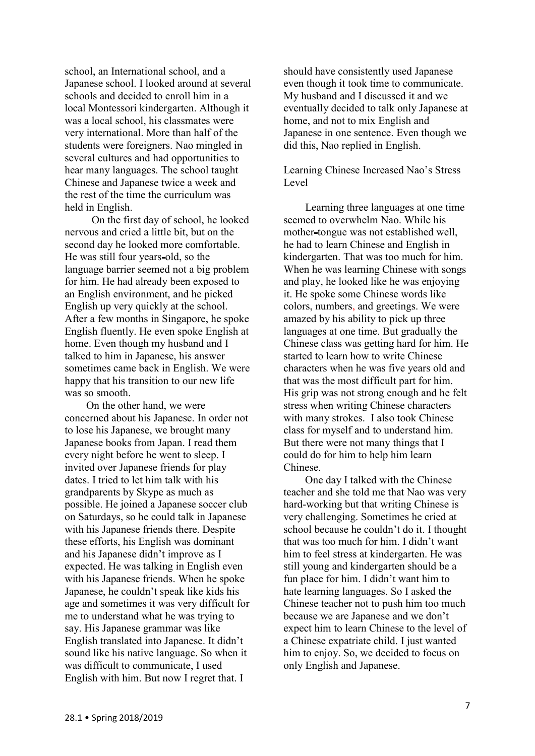school, an International school, and a Japanese school. I looked around at several schools and decided to enroll him in a local Montessori kindergarten. Although it was a local school, his classmates were very international. More than half of the students were foreigners. Nao mingled in several cultures and had opportunities to hear many languages. The school taught Chinese and Japanese twice a week and the rest of the time the curriculum was held in English.

 On the first day of school, he looked nervous and cried a little bit, but on the second day he looked more comfortable. He was still four years-old, so the language barrier seemed not a big problem for him. He had already been exposed to an English environment, and he picked English up very quickly at the school. After a few months in Singapore, he spoke English fluently. He even spoke English at home. Even though my husband and I talked to him in Japanese, his answer sometimes came back in English. We were happy that his transition to our new life was so smooth.

 On the other hand, we were concerned about his Japanese. In order not to lose his Japanese, we brought many Japanese books from Japan. I read them every night before he went to sleep. I invited over Japanese friends for play dates. I tried to let him talk with his grandparents by Skype as much as possible. He joined a Japanese soccer club on Saturdays, so he could talk in Japanese with his Japanese friends there. Despite these efforts, his English was dominant and his Japanese didn't improve as I expected. He was talking in English even with his Japanese friends. When he spoke Japanese, he couldn't speak like kids his age and sometimes it was very difficult for me to understand what he was trying to say. His Japanese grammar was like English translated into Japanese. It didn't sound like his native language. So when it was difficult to communicate, I used English with him. But now I regret that. I

should have consistently used Japanese even though it took time to communicate. My husband and I discussed it and we eventually decided to talk only Japanese at home, and not to mix English and Japanese in one sentence. Even though we did this, Nao replied in English.

Learning Chinese Increased Nao's Stress Level

 Learning three languages at one time seemed to overwhelm Nao. While his mother-tongue was not established well, he had to learn Chinese and English in kindergarten. That was too much for him. When he was learning Chinese with songs and play, he looked like he was enjoying it. He spoke some Chinese words like colors, numbers, and greetings. We were amazed by his ability to pick up three languages at one time. But gradually the Chinese class was getting hard for him. He started to learn how to write Chinese characters when he was five years old and that was the most difficult part for him. His grip was not strong enough and he felt stress when writing Chinese characters with many strokes. I also took Chinese class for myself and to understand him. But there were not many things that I could do for him to help him learn Chinese.

 One day I talked with the Chinese teacher and she told me that Nao was very hard-working but that writing Chinese is very challenging. Sometimes he cried at school because he couldn't do it. I thought that was too much for him. I didn't want him to feel stress at kindergarten. He was still young and kindergarten should be a fun place for him. I didn't want him to hate learning languages. So I asked the Chinese teacher not to push him too much because we are Japanese and we don't expect him to learn Chinese to the level of a Chinese expatriate child. I just wanted him to enjoy. So, we decided to focus on only English and Japanese.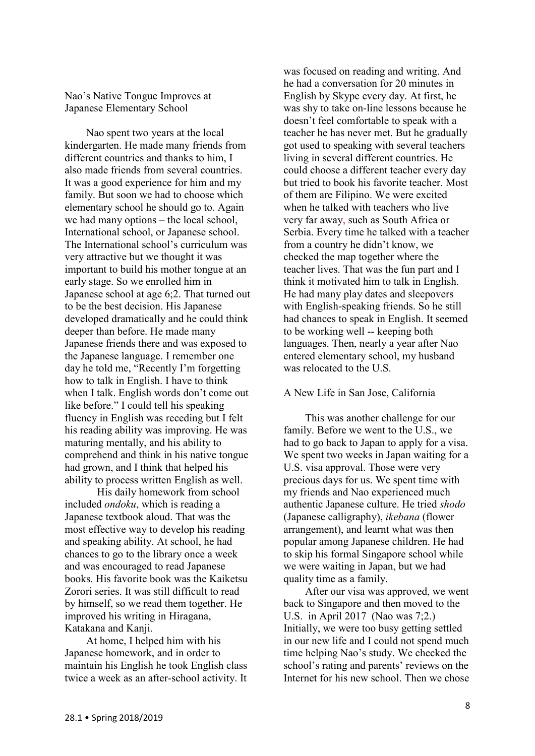Nao's Native Tongue Improves at Japanese Elementary School

 Nao spent two years at the local kindergarten. He made many friends from different countries and thanks to him, I also made friends from several countries. It was a good experience for him and my family. But soon we had to choose which elementary school he should go to. Again we had many options – the local school, International school, or Japanese school. The International school's curriculum was very attractive but we thought it was important to build his mother tongue at an early stage. So we enrolled him in Japanese school at age 6;2. That turned out to be the best decision. His Japanese developed dramatically and he could think deeper than before. He made many Japanese friends there and was exposed to the Japanese language. I remember one day he told me, "Recently I'm forgetting how to talk in English. I have to think when I talk. English words don't come out like before." I could tell his speaking fluency in English was receding but I felt his reading ability was improving. He was maturing mentally, and his ability to comprehend and think in his native tongue had grown, and I think that helped his ability to process written English as well.

His daily homework from school included *ondoku*, which is reading a Japanese textbook aloud. That was the most effective way to develop his reading and speaking ability. At school, he had chances to go to the library once a week and was encouraged to read Japanese books. His favorite book was the Kaiketsu Zorori series. It was still difficult to read by himself, so we read them together. He improved his writing in Hiragana, Katakana and Kanji.

 At home, I helped him with his Japanese homework, and in order to maintain his English he took English class twice a week as an after-school activity. It

was focused on reading and writing. And he had a conversation for 20 minutes in English by Skype every day. At first, he was shy to take on-line lessons because he doesn't feel comfortable to speak with a teacher he has never met. But he gradually got used to speaking with several teachers living in several different countries. He could choose a different teacher every day but tried to book his favorite teacher. Most of them are Filipino. We were excited when he talked with teachers who live very far away, such as South Africa or Serbia. Every time he talked with a teacher from a country he didn't know, we checked the map together where the teacher lives. That was the fun part and I think it motivated him to talk in English. He had many play dates and sleepovers with English-speaking friends. So he still had chances to speak in English. It seemed to be working well -- keeping both languages. Then, nearly a year after Nao entered elementary school, my husband was relocated to the U.S.

#### A New Life in San Jose, California

 This was another challenge for our family. Before we went to the U.S., we had to go back to Japan to apply for a visa. We spent two weeks in Japan waiting for a U.S. visa approval. Those were very precious days for us. We spent time with my friends and Nao experienced much authentic Japanese culture. He tried *shodo* (Japanese calligraphy), *ikebana* (flower arrangement), and learnt what was then popular among Japanese children. He had to skip his formal Singapore school while we were waiting in Japan, but we had quality time as a family.

 After our visa was approved, we went back to Singapore and then moved to the U.S. in April 2017 (Nao was 7;2.) Initially, we were too busy getting settled in our new life and I could not spend much time helping Nao's study. We checked the school's rating and parents' reviews on the Internet for his new school. Then we chose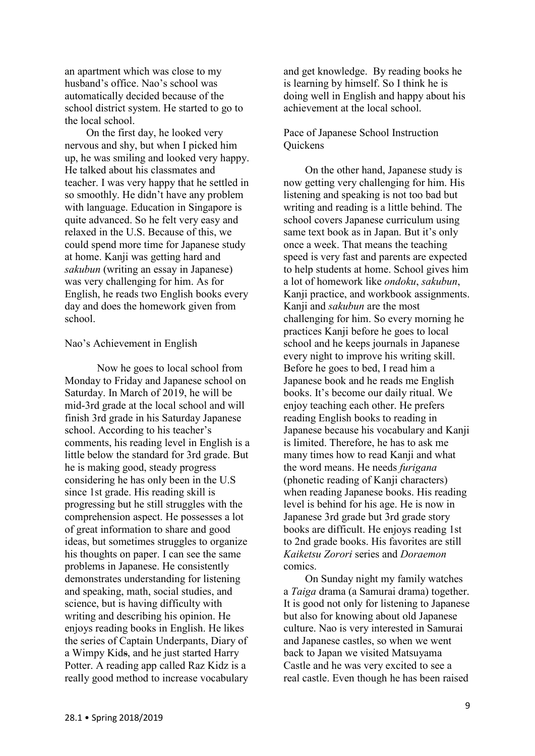an apartment which was close to my husband's office. Nao's school was automatically decided because of the school district system. He started to go to the local school.

 On the first day, he looked very nervous and shy, but when I picked him up, he was smiling and looked very happy. He talked about his classmates and teacher. I was very happy that he settled in so smoothly. He didn't have any problem with language. Education in Singapore is quite advanced. So he felt very easy and relaxed in the U.S. Because of this, we could spend more time for Japanese study at home. Kanji was getting hard and *sakubun* (writing an essay in Japanese) was very challenging for him. As for English, he reads two English books every day and does the homework given from school.

#### Nao's Achievement in English

Now he goes to local school from Monday to Friday and Japanese school on Saturday. In March of 2019, he will be mid-3rd grade at the local school and will finish 3rd grade in his Saturday Japanese school. According to his teacher's comments, his reading level in English is a little below the standard for 3rd grade. But he is making good, steady progress considering he has only been in the U.S since 1st grade. His reading skill is progressing but he still struggles with the comprehension aspect. He possesses a lot of great information to share and good ideas, but sometimes struggles to organize his thoughts on paper. I can see the same problems in Japanese. He consistently demonstrates understanding for listening and speaking, math, social studies, and science, but is having difficulty with writing and describing his opinion. He enjoys reading books in English. He likes the series of Captain Underpants, Diary of a Wimpy Kids, and he just started Harry Potter. A reading app called Raz Kidz is a really good method to increase vocabulary

and get knowledge. By reading books he is learning by himself. So I think he is doing well in English and happy about his achievement at the local school.

## Pace of Japanese School Instruction **Ouickens**

 On the other hand, Japanese study is now getting very challenging for him. His listening and speaking is not too bad but writing and reading is a little behind. The school covers Japanese curriculum using same text book as in Japan. But it's only once a week. That means the teaching speed is very fast and parents are expected to help students at home. School gives him a lot of homework like *ondoku*, *sakubun*, Kanji practice, and workbook assignments. Kanji and *sakubun* are the most challenging for him. So every morning he practices Kanji before he goes to local school and he keeps journals in Japanese every night to improve his writing skill. Before he goes to bed, I read him a Japanese book and he reads me English books. It's become our daily ritual. We enjoy teaching each other. He prefers reading English books to reading in Japanese because his vocabulary and Kanji is limited. Therefore, he has to ask me many times how to read Kanji and what the word means. He needs *furigana* (phonetic reading of Kanji characters) when reading Japanese books. His reading level is behind for his age. He is now in Japanese 3rd grade but 3rd grade story books are difficult. He enjoys reading 1st to 2nd grade books. His favorites are still *Kaiketsu Zorori* series and *Doraemon* comics.

 On Sunday night my family watches a *Taiga* drama (a Samurai drama) together. It is good not only for listening to Japanese but also for knowing about old Japanese culture. Nao is very interested in Samurai and Japanese castles, so when we went back to Japan we visited Matsuyama Castle and he was very excited to see a real castle. Even though he has been raised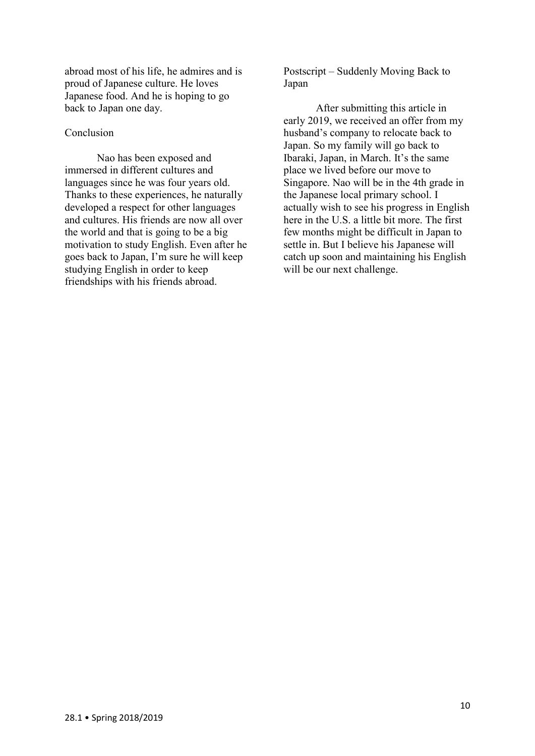abroad most of his life, he admires and is proud of Japanese culture. He loves Japanese food. And he is hoping to go back to Japan one day.

#### Conclusion

Nao has been exposed and immersed in different cultures and languages since he was four years old. Thanks to these experiences, he naturally developed a respect for other languages and cultures. His friends are now all over the world and that is going to be a big motivation to study English. Even after he goes back to Japan, I'm sure he will keep studying English in order to keep friendships with his friends abroad.

Postscript – Suddenly Moving Back to Japan

After submitting this article in early 2019, we received an offer from my husband's company to relocate back to Japan. So my family will go back to Ibaraki, Japan, in March. It's the same place we lived before our move to Singapore. Nao will be in the 4th grade in the Japanese local primary school. I actually wish to see his progress in English here in the U.S. a little bit more. The first few months might be difficult in Japan to settle in. But I believe his Japanese will catch up soon and maintaining his English will be our next challenge.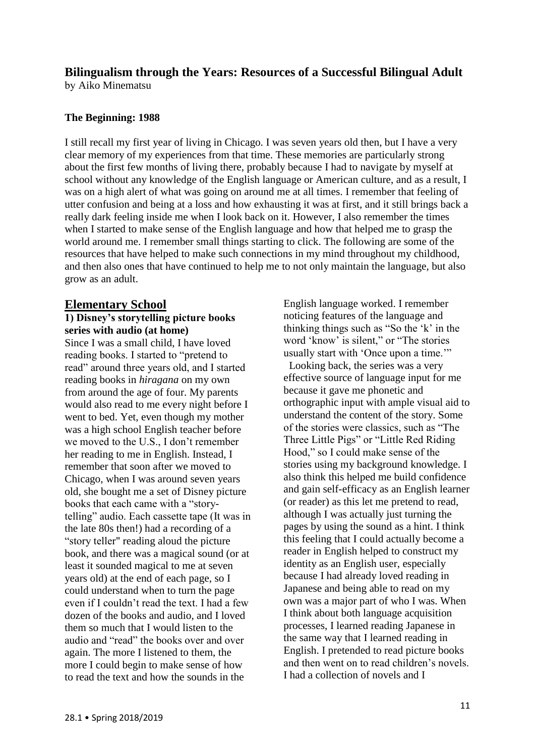# **Bilingualism through the Years: Resources of a Successful Bilingual Adult**

by Aiko Minematsu

## **The Beginning: 1988**

I still recall my first year of living in Chicago. I was seven years old then, but I have a very clear memory of my experiences from that time. These memories are particularly strong about the first few months of living there, probably because I had to navigate by myself at school without any knowledge of the English language or American culture, and as a result, I was on a high alert of what was going on around me at all times. I remember that feeling of utter confusion and being at a loss and how exhausting it was at first, and it still brings back a really dark feeling inside me when I look back on it. However, I also remember the times when I started to make sense of the English language and how that helped me to grasp the world around me. I remember small things starting to click. The following are some of the resources that have helped to make such connections in my mind throughout my childhood, and then also ones that have continued to help me to not only maintain the language, but also grow as an adult.

# **Elementary School**

## **1) Disney's storytelling picture books series with audio (at home)**

Since I was a small child, I have loved reading books. I started to "pretend to read" around three years old, and I started reading books in *hiragana* on my own from around the age of four. My parents would also read to me every night before I went to bed. Yet, even though my mother was a high school English teacher before we moved to the U.S., I don't remember her reading to me in English. Instead, I remember that soon after we moved to Chicago, when I was around seven years old, she bought me a set of Disney picture books that each came with a "storytelling" audio. Each cassette tape (It was in the late 80s then!) had a recording of a "story teller" reading aloud the picture book, and there was a magical sound (or at least it sounded magical to me at seven years old) at the end of each page, so I could understand when to turn the page even if I couldn't read the text. I had a few dozen of the books and audio, and I loved them so much that I would listen to the audio and "read" the books over and over again. The more I listened to them, the more I could begin to make sense of how to read the text and how the sounds in the

English language worked. I remember noticing features of the language and thinking things such as "So the 'k' in the word 'know' is silent," or "The stories" usually start with 'Once upon a time.'"

 Looking back, the series was a very effective source of language input for me because it gave me phonetic and orthographic input with ample visual aid to understand the content of the story. Some of the stories were classics, such as "The Three Little Pigs" or "Little Red Riding Hood," so I could make sense of the stories using my background knowledge. I also think this helped me build confidence and gain self-efficacy as an English learner (or reader) as this let me pretend to read, although I was actually just turning the pages by using the sound as a hint. I think this feeling that I could actually become a reader in English helped to construct my identity as an English user, especially because I had already loved reading in Japanese and being able to read on my own was a major part of who I was. When I think about both language acquisition processes, I learned reading Japanese in the same way that I learned reading in English. I pretended to read picture books and then went on to read children's novels. I had a collection of novels and I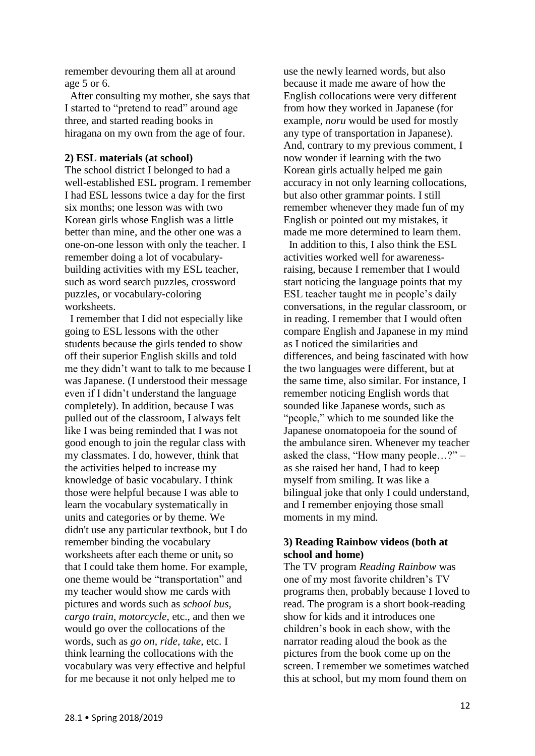remember devouring them all at around age 5 or 6.

 After consulting my mother, she says that I started to "pretend to read" around age three, and started reading books in hiragana on my own from the age of four.

#### **2) ESL materials (at school)**

The school district I belonged to had a well-established ESL program. I remember I had ESL lessons twice a day for the first six months; one lesson was with two Korean girls whose English was a little better than mine, and the other one was a one-on-one lesson with only the teacher. I remember doing a lot of vocabularybuilding activities with my ESL teacher, such as word search puzzles, crossword puzzles, or vocabulary-coloring worksheets.

 I remember that I did not especially like going to ESL lessons with the other students because the girls tended to show off their superior English skills and told me they didn't want to talk to me because I was Japanese. (I understood their message even if I didn't understand the language completely). In addition, because I was pulled out of the classroom, I always felt like I was being reminded that I was not good enough to join the regular class with my classmates. I do, however, think that the activities helped to increase my knowledge of basic vocabulary. I think those were helpful because I was able to learn the vocabulary systematically in units and categories or by theme. We didn't use any particular textbook, but I do remember binding the vocabulary worksheets after each theme or unit, so that I could take them home. For example, one theme would be "transportation" and my teacher would show me cards with pictures and words such as *school bus, cargo train, motorcycle*, etc., and then we would go over the collocations of the words, such as *go on, ride, take*, etc. I think learning the collocations with the vocabulary was very effective and helpful for me because it not only helped me to

use the newly learned words, but also because it made me aware of how the English collocations were very different from how they worked in Japanese (for example, *noru* would be used for mostly any type of transportation in Japanese). And, contrary to my previous comment, I now wonder if learning with the two Korean girls actually helped me gain accuracy in not only learning collocations, but also other grammar points. I still remember whenever they made fun of my English or pointed out my mistakes, it made me more determined to learn them.

 In addition to this, I also think the ESL activities worked well for awarenessraising, because I remember that I would start noticing the language points that my ESL teacher taught me in people's daily conversations, in the regular classroom, or in reading. I remember that I would often compare English and Japanese in my mind as I noticed the similarities and differences, and being fascinated with how the two languages were different, but at the same time, also similar. For instance, I remember noticing English words that sounded like Japanese words, such as "people," which to me sounded like the Japanese onomatopoeia for the sound of the ambulance siren. Whenever my teacher asked the class, "How many people…?" – as she raised her hand, I had to keep myself from smiling. It was like a bilingual joke that only I could understand, and I remember enjoying those small moments in my mind.

#### **3) Reading Rainbow videos (both at school and home)**

The TV program *Reading Rainbow* was one of my most favorite children's TV programs then, probably because I loved to read. The program is a short book-reading show for kids and it introduces one children's book in each show, with the narrator reading aloud the book as the pictures from the book come up on the screen. I remember we sometimes watched this at school, but my mom found them on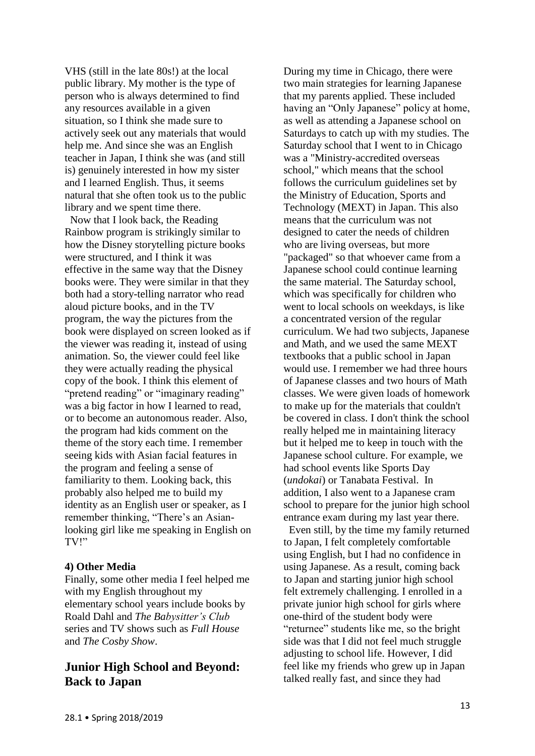VHS (still in the late 80s!) at the local public library. My mother is the type of person who is always determined to find any resources available in a given situation, so I think she made sure to actively seek out any materials that would help me. And since she was an English teacher in Japan, I think she was (and still is) genuinely interested in how my sister and I learned English. Thus, it seems natural that she often took us to the public library and we spent time there.

 Now that I look back, the Reading Rainbow program is strikingly similar to how the Disney storytelling picture books were structured, and I think it was effective in the same way that the Disney books were. They were similar in that they both had a story-telling narrator who read aloud picture books, and in the TV program, the way the pictures from the book were displayed on screen looked as if the viewer was reading it, instead of using animation. So, the viewer could feel like they were actually reading the physical copy of the book. I think this element of "pretend reading" or "imaginary reading" was a big factor in how I learned to read, or to become an autonomous reader. Also, the program had kids comment on the theme of the story each time. I remember seeing kids with Asian facial features in the program and feeling a sense of familiarity to them. Looking back, this probably also helped me to build my identity as an English user or speaker, as I remember thinking, "There's an Asianlooking girl like me speaking in English on TV!"

#### **4) Other Media**

Finally, some other media I feel helped me with my English throughout my elementary school years include books by Roald Dahl and *The Babysitter's Club* series and TV shows such as *Full House* and *The Cosby Show*.

# **Junior High School and Beyond: Back to Japan**

During my time in Chicago, there were two main strategies for learning Japanese that my parents applied. These included having an "Only Japanese" policy at home, as well as attending a Japanese school on Saturdays to catch up with my studies. The Saturday school that I went to in Chicago was a "Ministry-accredited overseas school," which means that the school follows the curriculum guidelines set by the Ministry of Education, Sports and Technology (MEXT) in Japan. This also means that the curriculum was not designed to cater the needs of children who are living overseas, but more "packaged" so that whoever came from a Japanese school could continue learning the same material. The Saturday school, which was specifically for children who went to local schools on weekdays, is like a concentrated version of the regular curriculum. We had two subjects, Japanese and Math, and we used the same MEXT textbooks that a public school in Japan would use. I remember we had three hours of Japanese classes and two hours of Math classes. We were given loads of homework to make up for the materials that couldn't be covered in class. I don't think the school really helped me in maintaining literacy but it helped me to keep in touch with the Japanese school culture. For example, we had school events like Sports Day (*undokai*) or Tanabata Festival. In addition, I also went to a Japanese cram school to prepare for the junior high school entrance exam during my last year there.

 Even still, by the time my family returned to Japan, I felt completely comfortable using English, but I had no confidence in using Japanese. As a result, coming back to Japan and starting junior high school felt extremely challenging. I enrolled in a private junior high school for girls where one-third of the student body were "returnee" students like me, so the bright side was that I did not feel much struggle adjusting to school life. However, I did feel like my friends who grew up in Japan talked really fast, and since they had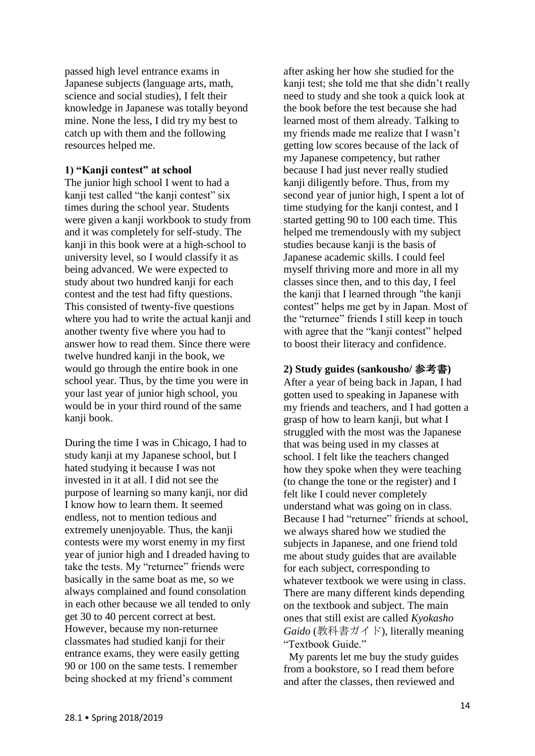passed high level entrance exams in Japanese subjects (language arts, math, science and social studies), I felt their knowledge in Japanese was totally beyond mine. None the less, I did try my best to catch up with them and the following resources helped me.

#### **1) "Kanji contest" at school**

The junior high school I went to had a kanji test called "the kanji contest" six times during the school year. Students were given a kanji workbook to study from and it was completely for self-study. The kanji in this book were at a high-school to university level, so I would classify it as being advanced. We were expected to study about two hundred kanji for each contest and the test had fifty questions. This consisted of twenty-five questions where you had to write the actual kanji and another twenty five where you had to answer how to read them. Since there were twelve hundred kanji in the book, we would go through the entire book in one school year. Thus, by the time you were in your last year of junior high school, you would be in your third round of the same kanii book.

During the time I was in Chicago, I had to study kanji at my Japanese school, but I hated studying it because I was not invested in it at all. I did not see the purpose of learning so many kanji, nor did I know how to learn them. It seemed endless, not to mention tedious and extremely unenjoyable. Thus, the kanji contests were my worst enemy in my first year of junior high and I dreaded having to take the tests. My "returnee" friends were basically in the same boat as me, so we always complained and found consolation in each other because we all tended to only get 30 to 40 percent correct at best. However, because my non-returnee classmates had studied kanji for their entrance exams, they were easily getting 90 or 100 on the same tests. I remember being shocked at my friend's comment

after asking her how she studied for the kanji test; she told me that she didn't really need to study and she took a quick look at the book before the test because she had learned most of them already. Talking to my friends made me realize that I wasn't getting low scores because of the lack of my Japanese competency, but rather because I had just never really studied kanii diligently before. Thus, from my second year of junior high, I spent a lot of time studying for the kanji contest, and I started getting 90 to 100 each time. This helped me tremendously with my subject studies because kanji is the basis of Japanese academic skills. I could feel myself thriving more and more in all my classes since then, and to this day, I feel the kanji that I learned through "the kanji contest" helps me get by in Japan. Most of the "returnee" friends I still keep in touch with agree that the "kanji contest" helped to boost their literacy and confidence.

#### **2) Study guides (sankousho/** 参考書**)**

After a year of being back in Japan, I had gotten used to speaking in Japanese with my friends and teachers, and I had gotten a grasp of how to learn kanji, but what I struggled with the most was the Japanese that was being used in my classes at school. I felt like the teachers changed how they spoke when they were teaching (to change the tone or the register) and I felt like I could never completely understand what was going on in class. Because I had "returnee" friends at school, we always shared how we studied the subjects in Japanese, and one friend told me about study guides that are available for each subject, corresponding to whatever textbook we were using in class. There are many different kinds depending on the textbook and subject. The main ones that still exist are called *Kyokasho Gaido* (教科書ガイド), literally meaning "Textbook Guide"

 My parents let me buy the study guides from a bookstore, so I read them before and after the classes, then reviewed and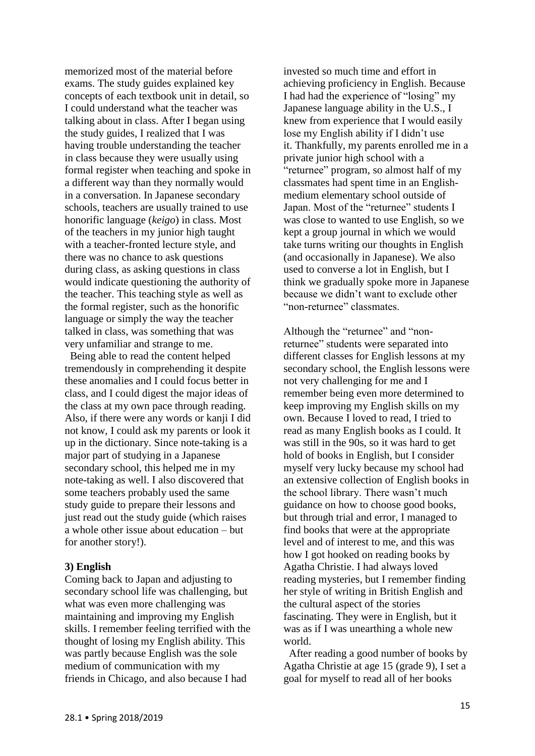memorized most of the material before exams. The study guides explained key concepts of each textbook unit in detail, so I could understand what the teacher was talking about in class. After I began using the study guides, I realized that I was having trouble understanding the teacher in class because they were usually using formal register when teaching and spoke in a different way than they normally would in a conversation. In Japanese secondary schools, teachers are usually trained to use honorific language (*keigo*) in class. Most of the teachers in my junior high taught with a teacher-fronted lecture style, and there was no chance to ask questions during class, as asking questions in class would indicate questioning the authority of the teacher. This teaching style as well as the formal register, such as the honorific language or simply the way the teacher talked in class, was something that was very unfamiliar and strange to me.

 Being able to read the content helped tremendously in comprehending it despite these anomalies and I could focus better in class, and I could digest the major ideas of the class at my own pace through reading. Also, if there were any words or kanji I did not know, I could ask my parents or look it up in the dictionary. Since note-taking is a major part of studying in a Japanese secondary school, this helped me in my note-taking as well. I also discovered that some teachers probably used the same study guide to prepare their lessons and just read out the study guide (which raises a whole other issue about education – but for another story!).

#### **3) English**

Coming back to Japan and adjusting to secondary school life was challenging, but what was even more challenging was maintaining and improving my English skills. I remember feeling terrified with the thought of losing my English ability. This was partly because English was the sole medium of communication with my friends in Chicago, and also because I had

invested so much time and effort in achieving proficiency in English. Because I had had the experience of "losing" my Japanese language ability in the U.S., I knew from experience that I would easily lose my English ability if I didn't use it. Thankfully, my parents enrolled me in a private junior high school with a "returnee" program, so almost half of my classmates had spent time in an Englishmedium elementary school outside of Japan. Most of the "returnee" students I was close to wanted to use English, so we kept a group journal in which we would take turns writing our thoughts in English (and occasionally in Japanese). We also used to converse a lot in English, but I think we gradually spoke more in Japanese because we didn't want to exclude other "non-returnee" classmates.

Although the "returnee" and "nonreturnee" students were separated into different classes for English lessons at my secondary school, the English lessons were not very challenging for me and I remember being even more determined to keep improving my English skills on my own. Because I loved to read, I tried to read as many English books as I could. It was still in the 90s, so it was hard to get hold of books in English, but I consider myself very lucky because my school had an extensive collection of English books in the school library. There wasn't much guidance on how to choose good books, but through trial and error, I managed to find books that were at the appropriate level and of interest to me, and this was how I got hooked on reading books by Agatha Christie. I had always loved reading mysteries, but I remember finding her style of writing in British English and the cultural aspect of the stories fascinating. They were in English, but it was as if I was unearthing a whole new world.

 After reading a good number of books by Agatha Christie at age 15 (grade 9), I set a goal for myself to read all of her books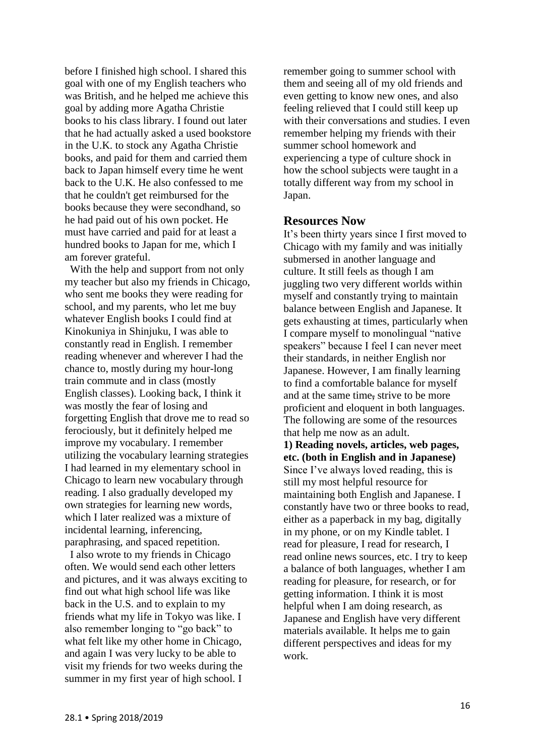before I finished high school. I shared this goal with one of my English teachers who was British, and he helped me achieve this goal by adding more Agatha Christie books to his class library. I found out later that he had actually asked a used bookstore in the U.K. to stock any Agatha Christie books, and paid for them and carried them back to Japan himself every time he went back to the U.K. He also confessed to me that he couldn't get reimbursed for the books because they were secondhand, so he had paid out of his own pocket. He must have carried and paid for at least a hundred books to Japan for me, which I am forever grateful.

 With the help and support from not only my teacher but also my friends in Chicago, who sent me books they were reading for school, and my parents, who let me buy whatever English books I could find at Kinokuniya in Shinjuku, I was able to constantly read in English. I remember reading whenever and wherever I had the chance to, mostly during my hour-long train commute and in class (mostly English classes). Looking back, I think it was mostly the fear of losing and forgetting English that drove me to read so ferociously, but it definitely helped me improve my vocabulary. I remember utilizing the vocabulary learning strategies I had learned in my elementary school in Chicago to learn new vocabulary through reading. I also gradually developed my own strategies for learning new words, which I later realized was a mixture of incidental learning, inferencing, paraphrasing, and spaced repetition.

 I also wrote to my friends in Chicago often. We would send each other letters and pictures, and it was always exciting to find out what high school life was like back in the U.S. and to explain to my friends what my life in Tokyo was like. I also remember longing to "go back" to what felt like my other home in Chicago, and again I was very lucky to be able to visit my friends for two weeks during the summer in my first year of high school. I

remember going to summer school with them and seeing all of my old friends and even getting to know new ones, and also feeling relieved that I could still keep up with their conversations and studies. I even remember helping my friends with their summer school homework and experiencing a type of culture shock in how the school subjects were taught in a totally different way from my school in Japan.

## **Resources Now**

It's been thirty years since I first moved to Chicago with my family and was initially submersed in another language and culture. It still feels as though I am juggling two very different worlds within myself and constantly trying to maintain balance between English and Japanese. It gets exhausting at times, particularly when I compare myself to monolingual "native speakers" because I feel I can never meet their standards, in neither English nor Japanese. However, I am finally learning to find a comfortable balance for myself and at the same time, strive to be more proficient and eloquent in both languages. The following are some of the resources that help me now as an adult.

**1) Reading novels, articles, web pages, etc. (both in English and in Japanese)** Since I've always loved reading, this is still my most helpful resource for maintaining both English and Japanese. I constantly have two or three books to read, either as a paperback in my bag, digitally in my phone, or on my Kindle tablet. I read for pleasure, I read for research, I read online news sources, etc. I try to keep a balance of both languages, whether I am reading for pleasure, for research, or for getting information. I think it is most helpful when I am doing research, as Japanese and English have very different materials available. It helps me to gain different perspectives and ideas for my work.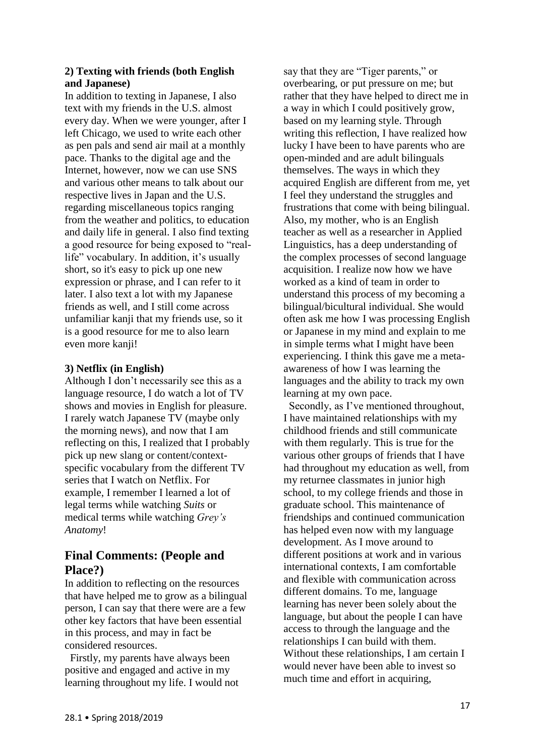## **2) Texting with friends (both English and Japanese)**

In addition to texting in Japanese, I also text with my friends in the U.S. almost every day. When we were younger, after I left Chicago, we used to write each other as pen pals and send air mail at a monthly pace. Thanks to the digital age and the Internet, however, now we can use SNS and various other means to talk about our respective lives in Japan and the U.S. regarding miscellaneous topics ranging from the weather and politics, to education and daily life in general. I also find texting a good resource for being exposed to "reallife" vocabulary. In addition, it's usually short, so it's easy to pick up one new expression or phrase, and I can refer to it later. I also text a lot with my Japanese friends as well, and I still come across unfamiliar kanji that my friends use, so it is a good resource for me to also learn even more kanji!

## **3) Netflix (in English)**

Although I don't necessarily see this as a language resource, I do watch a lot of TV shows and movies in English for pleasure. I rarely watch Japanese TV (maybe only the morning news), and now that I am reflecting on this, I realized that I probably pick up new slang or content/contextspecific vocabulary from the different TV series that I watch on Netflix. For example, I remember I learned a lot of legal terms while watching *Suits* or medical terms while watching *Grey's Anatomy*!

# **Final Comments: (People and Place?)**

In addition to reflecting on the resources that have helped me to grow as a bilingual person, I can say that there were are a few other key factors that have been essential in this process, and may in fact be considered resources.

 Firstly, my parents have always been positive and engaged and active in my learning throughout my life. I would not say that they are "Tiger parents," or overbearing, or put pressure on me; but rather that they have helped to direct me in a way in which I could positively grow, based on my learning style. Through writing this reflection, I have realized how lucky I have been to have parents who are open-minded and are adult bilinguals themselves. The ways in which they acquired English are different from me, yet I feel they understand the struggles and frustrations that come with being bilingual. Also, my mother, who is an English teacher as well as a researcher in Applied Linguistics, has a deep understanding of the complex processes of second language acquisition. I realize now how we have worked as a kind of team in order to understand this process of my becoming a bilingual/bicultural individual. She would often ask me how I was processing English or Japanese in my mind and explain to me in simple terms what I might have been experiencing. I think this gave me a metaawareness of how I was learning the languages and the ability to track my own learning at my own pace.

 Secondly, as I've mentioned throughout, I have maintained relationships with my childhood friends and still communicate with them regularly. This is true for the various other groups of friends that I have had throughout my education as well, from my returnee classmates in junior high school, to my college friends and those in graduate school. This maintenance of friendships and continued communication has helped even now with my language development. As I move around to different positions at work and in various international contexts, I am comfortable and flexible with communication across different domains. To me, language learning has never been solely about the language, but about the people I can have access to through the language and the relationships I can build with them. Without these relationships, I am certain I would never have been able to invest so much time and effort in acquiring,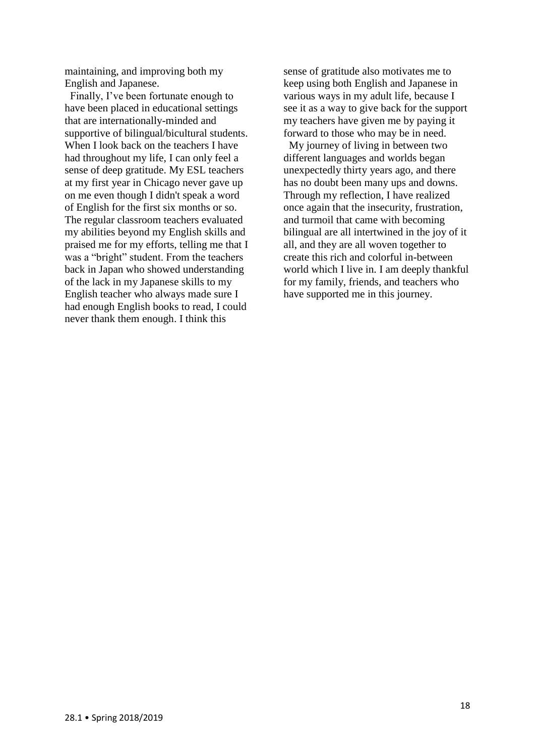maintaining, and improving both my English and Japanese.

 Finally, I've been fortunate enough to have been placed in educational settings that are internationally-minded and supportive of bilingual/bicultural students. When I look back on the teachers I have had throughout my life, I can only feel a sense of deep gratitude. My ESL teachers at my first year in Chicago never gave up on me even though I didn't speak a word of English for the first six months or so. The regular classroom teachers evaluated my abilities beyond my English skills and praised me for my efforts, telling me that I was a "bright" student. From the teachers back in Japan who showed understanding of the lack in my Japanese skills to my English teacher who always made sure I had enough English books to read, I could never thank them enough. I think this

sense of gratitude also motivates me to keep using both English and Japanese in various ways in my adult life, because I see it as a way to give back for the support my teachers have given me by paying it forward to those who may be in need.

 My journey of living in between two different languages and worlds began unexpectedly thirty years ago, and there has no doubt been many ups and downs. Through my reflection, I have realized once again that the insecurity, frustration, and turmoil that came with becoming bilingual are all intertwined in the joy of it all, and they are all woven together to create this rich and colorful in-between world which I live in. I am deeply thankful for my family, friends, and teachers who have supported me in this journey.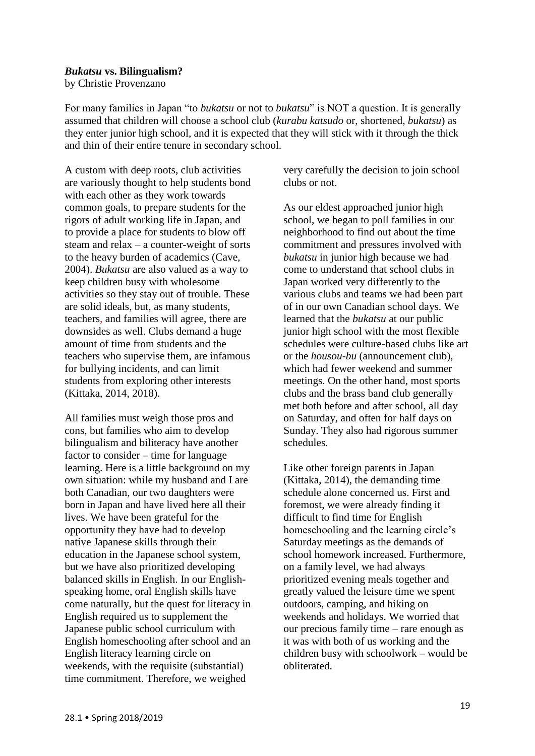#### *Bukatsu* **vs. Bilingualism?**

by Christie Provenzano

For many families in Japan "to *bukatsu* or not to *bukatsu*" is NOT a question. It is generally assumed that children will choose a school club (*kurabu katsudo* or, shortened, *bukatsu*) as they enter junior high school, and it is expected that they will stick with it through the thick and thin of their entire tenure in secondary school.

A custom with deep roots, club activities are variously thought to help students bond with each other as they work towards common goals, to prepare students for the rigors of adult working life in Japan, and to provide a place for students to blow off steam and relax – a counter-weight of sorts to the heavy burden of academics (Cave, 2004). *Bukatsu* are also valued as a way to keep children busy with wholesome activities so they stay out of trouble. These are solid ideals, but, as many students, teachers, and families will agree, there are downsides as well. Clubs demand a huge amount of time from students and the teachers who supervise them, are infamous for bullying incidents, and can limit students from exploring other interests (Kittaka, 2014, 2018).

All families must weigh those pros and cons, but families who aim to develop bilingualism and biliteracy have another factor to consider – time for language learning. Here is a little background on my own situation: while my husband and I are both Canadian, our two daughters were born in Japan and have lived here all their lives. We have been grateful for the opportunity they have had to develop native Japanese skills through their education in the Japanese school system, but we have also prioritized developing balanced skills in English. In our Englishspeaking home, oral English skills have come naturally, but the quest for literacy in English required us to supplement the Japanese public school curriculum with English homeschooling after school and an English literacy learning circle on weekends, with the requisite (substantial) time commitment. Therefore, we weighed

very carefully the decision to join school clubs or not.

As our eldest approached junior high school, we began to poll families in our neighborhood to find out about the time commitment and pressures involved with *bukatsu* in junior high because we had come to understand that school clubs in Japan worked very differently to the various clubs and teams we had been part of in our own Canadian school days. We learned that the *bukatsu* at our public junior high school with the most flexible schedules were culture-based clubs like art or the *housou-bu* (announcement club), which had fewer weekend and summer meetings. On the other hand, most sports clubs and the brass band club generally met both before and after school, all day on Saturday, and often for half days on Sunday. They also had rigorous summer schedules.

Like other foreign parents in Japan (Kittaka, 2014), the demanding time schedule alone concerned us. First and foremost, we were already finding it difficult to find time for English homeschooling and the learning circle's Saturday meetings as the demands of school homework increased. Furthermore, on a family level, we had always prioritized evening meals together and greatly valued the leisure time we spent outdoors, camping, and hiking on weekends and holidays. We worried that our precious family time – rare enough as it was with both of us working and the children busy with schoolwork – would be obliterated.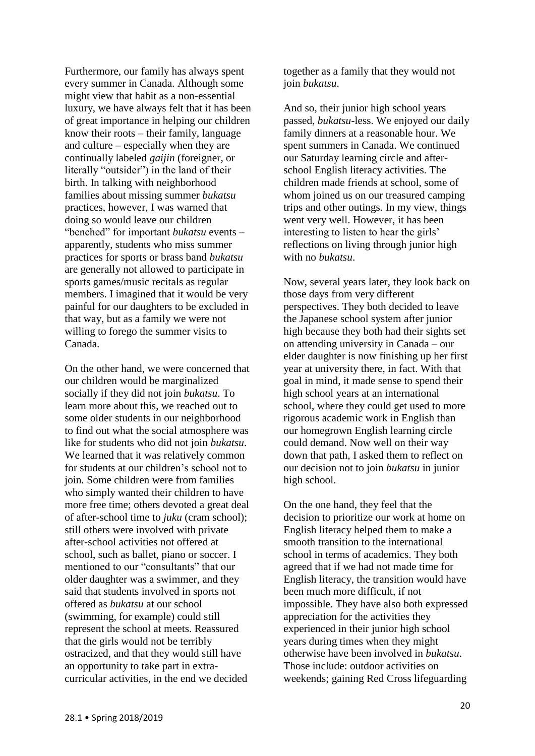Furthermore, our family has always spent every summer in Canada. Although some might view that habit as a non-essential luxury, we have always felt that it has been of great importance in helping our children know their roots – their family, language and culture – especially when they are continually labeled *gaijin* (foreigner, or literally "outsider") in the land of their birth. In talking with neighborhood families about missing summer *bukatsu* practices, however, I was warned that doing so would leave our children "benched" for important *bukatsu* events – apparently, students who miss summer practices for sports or brass band *bukatsu*  are generally not allowed to participate in sports games/music recitals as regular members. I imagined that it would be very painful for our daughters to be excluded in that way, but as a family we were not willing to forego the summer visits to Canada.

On the other hand, we were concerned that our children would be marginalized socially if they did not join *bukatsu*. To learn more about this, we reached out to some older students in our neighborhood to find out what the social atmosphere was like for students who did not join *bukatsu*. We learned that it was relatively common for students at our children's school not to join*.* Some children were from families who simply wanted their children to have more free time; others devoted a great deal of after-school time to *juku* (cram school); still others were involved with private after-school activities not offered at school, such as ballet, piano or soccer. I mentioned to our "consultants" that our older daughter was a swimmer, and they said that students involved in sports not offered as *bukatsu* at our school (swimming, for example) could still represent the school at meets. Reassured that the girls would not be terribly ostracized, and that they would still have an opportunity to take part in extracurricular activities, in the end we decided

together as a family that they would not join *bukatsu*.

And so, their junior high school years passed, *bukatsu-*less. We enjoyed our daily family dinners at a reasonable hour. We spent summers in Canada. We continued our Saturday learning circle and afterschool English literacy activities. The children made friends at school, some of whom joined us on our treasured camping trips and other outings. In my view, things went very well. However, it has been interesting to listen to hear the girls' reflections on living through junior high with no *bukatsu*.

Now, several years later, they look back on those days from very different perspectives. They both decided to leave the Japanese school system after junior high because they both had their sights set on attending university in Canada – our elder daughter is now finishing up her first year at university there, in fact. With that goal in mind, it made sense to spend their high school years at an international school, where they could get used to more rigorous academic work in English than our homegrown English learning circle could demand. Now well on their way down that path, I asked them to reflect on our decision not to join *bukatsu* in junior high school.

On the one hand, they feel that the decision to prioritize our work at home on English literacy helped them to make a smooth transition to the international school in terms of academics. They both agreed that if we had not made time for English literacy, the transition would have been much more difficult, if not impossible. They have also both expressed appreciation for the activities they experienced in their junior high school years during times when they might otherwise have been involved in *bukatsu*. Those include: outdoor activities on weekends; gaining Red Cross lifeguarding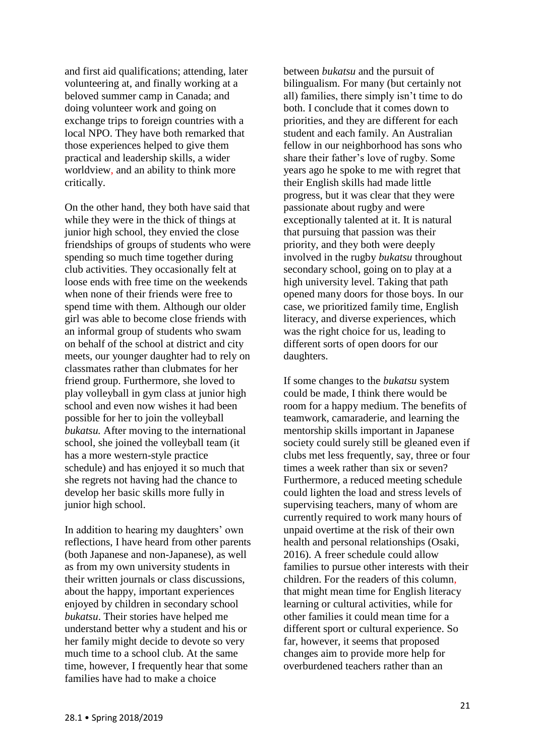and first aid qualifications; attending, later volunteering at, and finally working at a beloved summer camp in Canada; and doing volunteer work and going on exchange trips to foreign countries with a local NPO. They have both remarked that those experiences helped to give them practical and leadership skills, a wider worldview, and an ability to think more critically.

On the other hand, they both have said that while they were in the thick of things at junior high school, they envied the close friendships of groups of students who were spending so much time together during club activities. They occasionally felt at loose ends with free time on the weekends when none of their friends were free to spend time with them. Although our older girl was able to become close friends with an informal group of students who swam on behalf of the school at district and city meets, our younger daughter had to rely on classmates rather than clubmates for her friend group. Furthermore, she loved to play volleyball in gym class at junior high school and even now wishes it had been possible for her to join the volleyball *bukatsu.* After moving to the international school, she joined the volleyball team (it has a more western-style practice schedule) and has enjoyed it so much that she regrets not having had the chance to develop her basic skills more fully in junior high school.

In addition to hearing my daughters' own reflections, I have heard from other parents (both Japanese and non-Japanese), as well as from my own university students in their written journals or class discussions, about the happy, important experiences enjoyed by children in secondary school *bukatsu*. Their stories have helped me understand better why a student and his or her family might decide to devote so very much time to a school club. At the same time, however, I frequently hear that some families have had to make a choice

between *bukatsu* and the pursuit of bilingualism. For many (but certainly not all) families, there simply isn't time to do both. I conclude that it comes down to priorities, and they are different for each student and each family. An Australian fellow in our neighborhood has sons who share their father's love of rugby. Some years ago he spoke to me with regret that their English skills had made little progress, but it was clear that they were passionate about rugby and were exceptionally talented at it. It is natural that pursuing that passion was their priority, and they both were deeply involved in the rugby *bukatsu* throughout secondary school, going on to play at a high university level. Taking that path opened many doors for those boys. In our case, we prioritized family time, English literacy, and diverse experiences, which was the right choice for us, leading to different sorts of open doors for our daughters.

If some changes to the *bukatsu* system could be made, I think there would be room for a happy medium. The benefits of teamwork, camaraderie, and learning the mentorship skills important in Japanese society could surely still be gleaned even if clubs met less frequently, say, three or four times a week rather than six or seven? Furthermore, a reduced meeting schedule could lighten the load and stress levels of supervising teachers, many of whom are currently required to work many hours of unpaid overtime at the risk of their own health and personal relationships (Osaki, 2016). A freer schedule could allow families to pursue other interests with their children. For the readers of this column, that might mean time for English literacy learning or cultural activities, while for other families it could mean time for a different sport or cultural experience. So far, however, it seems that proposed changes aim to provide more help for overburdened teachers rather than an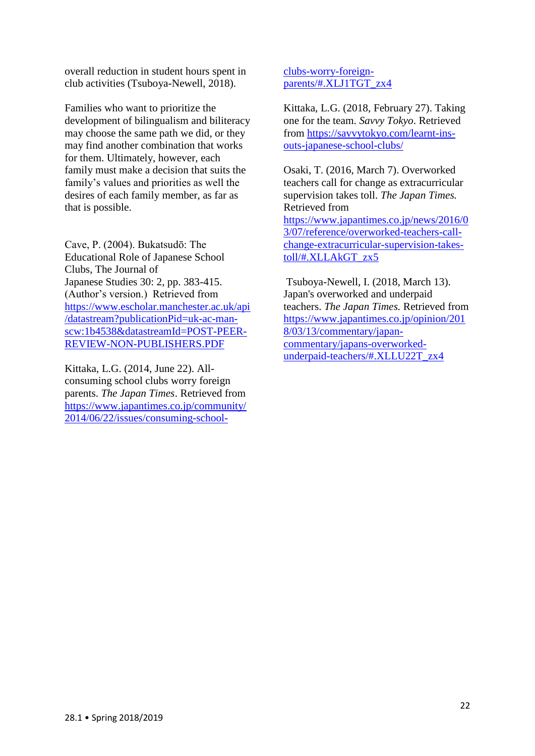overall reduction in student hours spent in club activities (Tsuboya-Newell, 2018).

Families who want to prioritize the development of bilingualism and biliteracy may choose the same path we did, or they may find another combination that works for them. Ultimately, however, each family must make a decision that suits the family's values and priorities as well the desires of each family member, as far as that is possible.

Cave, P. (2004). Bukatsudō: The Educational Role of Japanese School Clubs, The Journal of Japanese Studies 30: 2, pp. 383-415. (Author's version.) Retrieved from [https://www.escholar.manchester.ac.uk/api](https://www.escholar.manchester.ac.uk/api/datastream?publicationPid=uk-ac-man-scw:1b4538&datastreamId=POST-PEER-REVIEW-NON-PUBLISHERS.PDF) [/datastream?publicationPid=uk-ac-man](https://www.escholar.manchester.ac.uk/api/datastream?publicationPid=uk-ac-man-scw:1b4538&datastreamId=POST-PEER-REVIEW-NON-PUBLISHERS.PDF)[scw:1b4538&datastreamId=POST-PEER-](https://www.escholar.manchester.ac.uk/api/datastream?publicationPid=uk-ac-man-scw:1b4538&datastreamId=POST-PEER-REVIEW-NON-PUBLISHERS.PDF)[REVIEW-NON-PUBLISHERS.PDF](https://www.escholar.manchester.ac.uk/api/datastream?publicationPid=uk-ac-man-scw:1b4538&datastreamId=POST-PEER-REVIEW-NON-PUBLISHERS.PDF)

Kittaka, L.G. (2014, June 22). Allconsuming school clubs worry foreign parents. *The Japan Times*. Retrieved from [https://www.japantimes.co.jp/community/](https://www.japantimes.co.jp/community/2014/06/22/issues/consuming-school-clubs-worry-foreign-parents/#.XLJ1TGT_zx4) [2014/06/22/issues/consuming-school-](https://www.japantimes.co.jp/community/2014/06/22/issues/consuming-school-clubs-worry-foreign-parents/#.XLJ1TGT_zx4) [clubs-worry-foreign](https://www.japantimes.co.jp/community/2014/06/22/issues/consuming-school-clubs-worry-foreign-parents/#.XLJ1TGT_zx4)[parents/#.XLJ1TGT\\_zx4](https://www.japantimes.co.jp/community/2014/06/22/issues/consuming-school-clubs-worry-foreign-parents/#.XLJ1TGT_zx4)

Kittaka, L.G. (2018, February 27). Taking one for the team. *Savvy Tokyo*. Retrieved from [https://savvytokyo.com/learnt-ins](https://savvytokyo.com/learnt-ins-outs-japanese-school-clubs/)[outs-japanese-school-clubs/](https://savvytokyo.com/learnt-ins-outs-japanese-school-clubs/)

Osaki, T. (2016, March 7). Overworked teachers call for change as extracurricular supervision takes toll. *The Japan Times.*  Retrieved from [https://www.japantimes.co.jp/news/2016/0](https://www.japantimes.co.jp/news/2016/03/07/reference/overworked-teachers-call-change-extracurricular-supervision-takes-toll/#.XLLAkGT_zx5) [3/07/reference/overworked-teachers-call](https://www.japantimes.co.jp/news/2016/03/07/reference/overworked-teachers-call-change-extracurricular-supervision-takes-toll/#.XLLAkGT_zx5)[change-extracurricular-supervision-takes](https://www.japantimes.co.jp/news/2016/03/07/reference/overworked-teachers-call-change-extracurricular-supervision-takes-toll/#.XLLAkGT_zx5)[toll/#.XLLAkGT\\_zx5](https://www.japantimes.co.jp/news/2016/03/07/reference/overworked-teachers-call-change-extracurricular-supervision-takes-toll/#.XLLAkGT_zx5)

Tsuboya-Newell, I. (2018, March 13). Japan's overworked and underpaid teachers. *The Japan Times.* Retrieved from [https://www.japantimes.co.jp/opinion/201](https://www.japantimes.co.jp/opinion/2018/03/13/commentary/japan-commentary/japans-overworked-underpaid-teachers/#.XLLU22T_zx4) [8/03/13/commentary/japan](https://www.japantimes.co.jp/opinion/2018/03/13/commentary/japan-commentary/japans-overworked-underpaid-teachers/#.XLLU22T_zx4)[commentary/japans-overworked](https://www.japantimes.co.jp/opinion/2018/03/13/commentary/japan-commentary/japans-overworked-underpaid-teachers/#.XLLU22T_zx4)[underpaid-teachers/#.XLLU22T\\_zx4](https://www.japantimes.co.jp/opinion/2018/03/13/commentary/japan-commentary/japans-overworked-underpaid-teachers/#.XLLU22T_zx4)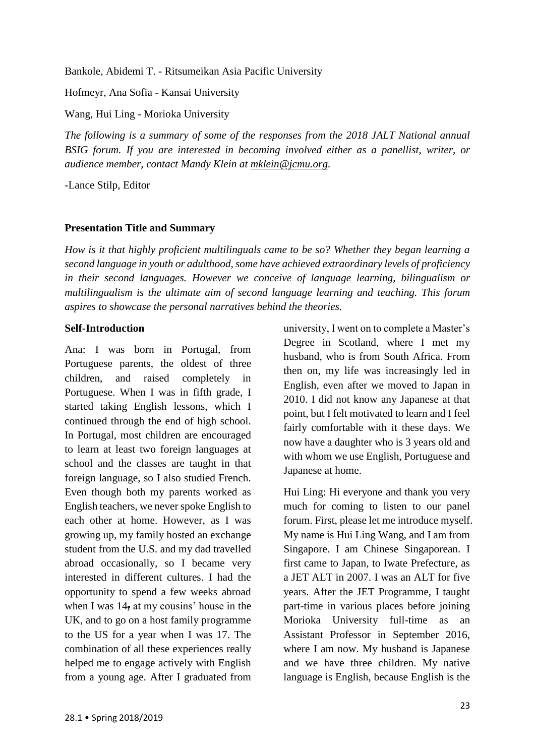Bankole, Abidemi T. - Ritsumeikan Asia Pacific University

Hofmeyr, Ana Sofia - Kansai University

Wang, Hui Ling - Morioka University

*The following is a summary of some of the responses from the 2018 JALT National annual BSIG forum. If you are interested in becoming involved either as a panellist, writer, or audience member, contact Mandy Klein at [mklein@jcmu.org.](mailto:mklein@jcmu.org)*

-Lance Stilp, Editor

## **Presentation Title and Summary**

*How is it that highly proficient multilinguals came to be so? Whether they began learning a second language in youth or adulthood, some have achieved extraordinary levels of proficiency in their second languages. However we conceive of language learning, bilingualism or multilingualism is the ultimate aim of second language learning and teaching. This forum aspires to showcase the personal narratives behind the theories.* 

## **Self-Introduction**

Ana: I was born in Portugal, from Portuguese parents, the oldest of three children, and raised completely in Portuguese. When I was in fifth grade, I started taking English lessons, which I continued through the end of high school. In Portugal, most children are encouraged to learn at least two foreign languages at school and the classes are taught in that foreign language, so I also studied French. Even though both my parents worked as English teachers, we never spoke English to each other at home. However, as I was growing up, my family hosted an exchange student from the U.S. and my dad travelled abroad occasionally, so I became very interested in different cultures. I had the opportunity to spend a few weeks abroad when I was  $14$ , at my cousins' house in the UK, and to go on a host family programme to the US for a year when I was 17. The combination of all these experiences really helped me to engage actively with English from a young age. After I graduated from university, I went on to complete a Master's Degree in Scotland, where I met my husband, who is from South Africa. From then on, my life was increasingly led in English, even after we moved to Japan in 2010. I did not know any Japanese at that point, but I felt motivated to learn and I feel fairly comfortable with it these days. We now have a daughter who is 3 years old and with whom we use English, Portuguese and Japanese at home.

Hui Ling: Hi everyone and thank you very much for coming to listen to our panel forum. First, please let me introduce myself. My name is Hui Ling Wang, and I am from Singapore. I am Chinese Singaporean. I first came to Japan, to Iwate Prefecture, as a JET ALT in 2007. I was an ALT for five years. After the JET Programme, I taught part-time in various places before joining Morioka University full-time as an Assistant Professor in September 2016, where I am now. My husband is Japanese and we have three children. My native language is English, because English is the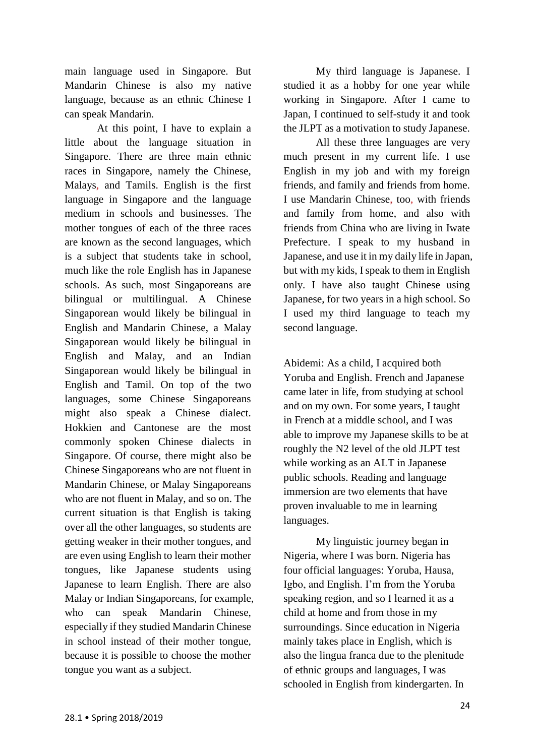main language used in Singapore. But Mandarin Chinese is also my native language, because as an ethnic Chinese I can speak Mandarin.

At this point, I have to explain a little about the language situation in Singapore. There are three main ethnic races in Singapore, namely the Chinese, Malays, and Tamils. English is the first language in Singapore and the language medium in schools and businesses. The mother tongues of each of the three races are known as the second languages, which is a subject that students take in school, much like the role English has in Japanese schools. As such, most Singaporeans are bilingual or multilingual. A Chinese Singaporean would likely be bilingual in English and Mandarin Chinese, a Malay Singaporean would likely be bilingual in English and Malay, and an Indian Singaporean would likely be bilingual in English and Tamil. On top of the two languages, some Chinese Singaporeans might also speak a Chinese dialect. Hokkien and Cantonese are the most commonly spoken Chinese dialects in Singapore. Of course, there might also be Chinese Singaporeans who are not fluent in Mandarin Chinese, or Malay Singaporeans who are not fluent in Malay, and so on. The current situation is that English is taking over all the other languages, so students are getting weaker in their mother tongues, and are even using English to learn their mother tongues, like Japanese students using Japanese to learn English. There are also Malay or Indian Singaporeans, for example, who can speak Mandarin Chinese, especially if they studied Mandarin Chinese in school instead of their mother tongue, because it is possible to choose the mother tongue you want as a subject.

My third language is Japanese. I studied it as a hobby for one year while working in Singapore. After I came to Japan, I continued to self-study it and took the JLPT as a motivation to study Japanese.

All these three languages are very much present in my current life. I use English in my job and with my foreign friends, and family and friends from home. I use Mandarin Chinese, too, with friends and family from home, and also with friends from China who are living in Iwate Prefecture. I speak to my husband in Japanese, and use it in my daily life in Japan, but with my kids, I speak to them in English only. I have also taught Chinese using Japanese, for two years in a high school. So I used my third language to teach my second language.

Abidemi: As a child, I acquired both Yoruba and English. French and Japanese came later in life, from studying at school and on my own. For some years, I taught in French at a middle school, and I was able to improve my Japanese skills to be at roughly the N2 level of the old JLPT test while working as an ALT in Japanese public schools. Reading and language immersion are two elements that have proven invaluable to me in learning languages.

My linguistic journey began in Nigeria, where I was born. Nigeria has four official languages: Yoruba, Hausa, Igbo, and English. I'm from the Yoruba speaking region, and so I learned it as a child at home and from those in my surroundings. Since education in Nigeria mainly takes place in English, which is also the lingua franca due to the plenitude of ethnic groups and languages, I was schooled in English from kindergarten. In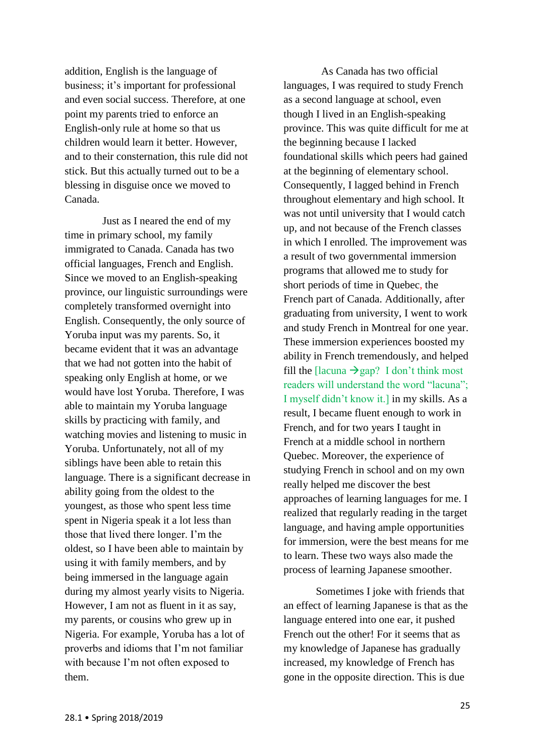addition, English is the language of business; it's important for professional and even social success. Therefore, at one point my parents tried to enforce an English-only rule at home so that us children would learn it better. However, and to their consternation, this rule did not stick. But this actually turned out to be a blessing in disguise once we moved to Canada.

Just as I neared the end of my time in primary school, my family immigrated to Canada. Canada has two official languages, French and English. Since we moved to an English-speaking province, our linguistic surroundings were completely transformed overnight into English. Consequently, the only source of Yoruba input was my parents. So, it became evident that it was an advantage that we had not gotten into the habit of speaking only English at home, or we would have lost Yoruba. Therefore, I was able to maintain my Yoruba language skills by practicing with family, and watching movies and listening to music in Yoruba. Unfortunately, not all of my siblings have been able to retain this language. There is a significant decrease in ability going from the oldest to the youngest, as those who spent less time spent in Nigeria speak it a lot less than those that lived there longer. I'm the oldest, so I have been able to maintain by using it with family members, and by being immersed in the language again during my almost yearly visits to Nigeria. However, I am not as fluent in it as say, my parents, or cousins who grew up in Nigeria. For example, Yoruba has a lot of proverbs and idioms that I'm not familiar with because I'm not often exposed to them.

As Canada has two official languages, I was required to study French as a second language at school, even though I lived in an English-speaking province. This was quite difficult for me at the beginning because I lacked foundational skills which peers had gained at the beginning of elementary school. Consequently, I lagged behind in French throughout elementary and high school. It was not until university that I would catch up, and not because of the French classes in which I enrolled. The improvement was a result of two governmental immersion programs that allowed me to study for short periods of time in Quebec, the French part of Canada. Additionally, after graduating from university, I went to work and study French in Montreal for one year. These immersion experiences boosted my ability in French tremendously, and helped fill the [lacuna  $\rightarrow$ gap? I don't think most readers will understand the word "lacuna"; I myself didn't know it.] in my skills. As a result, I became fluent enough to work in French, and for two years I taught in French at a middle school in northern Quebec. Moreover, the experience of studying French in school and on my own really helped me discover the best approaches of learning languages for me. I realized that regularly reading in the target language, and having ample opportunities for immersion, were the best means for me to learn. These two ways also made the process of learning Japanese smoother.

Sometimes I joke with friends that an effect of learning Japanese is that as the language entered into one ear, it pushed French out the other! For it seems that as my knowledge of Japanese has gradually increased, my knowledge of French has gone in the opposite direction. This is due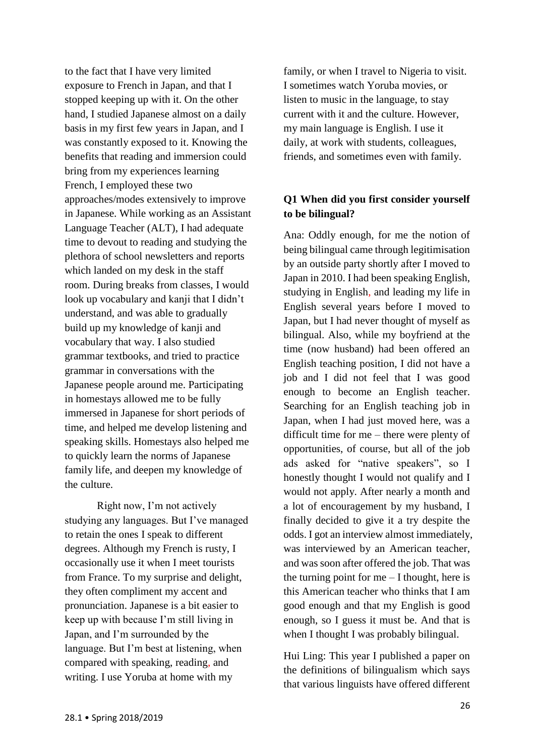to the fact that I have very limited exposure to French in Japan, and that I stopped keeping up with it. On the other hand, I studied Japanese almost on a daily basis in my first few years in Japan, and I was constantly exposed to it. Knowing the benefits that reading and immersion could bring from my experiences learning French, I employed these two approaches/modes extensively to improve in Japanese. While working as an Assistant Language Teacher (ALT), I had adequate time to devout to reading and studying the plethora of school newsletters and reports which landed on my desk in the staff room. During breaks from classes, I would look up vocabulary and kanji that I didn't understand, and was able to gradually build up my knowledge of kanji and vocabulary that way. I also studied grammar textbooks, and tried to practice grammar in conversations with the Japanese people around me. Participating in homestays allowed me to be fully immersed in Japanese for short periods of time, and helped me develop listening and speaking skills. Homestays also helped me to quickly learn the norms of Japanese family life, and deepen my knowledge of the culture.

Right now, I'm not actively studying any languages. But I've managed to retain the ones I speak to different degrees. Although my French is rusty, I occasionally use it when I meet tourists from France. To my surprise and delight, they often compliment my accent and pronunciation. Japanese is a bit easier to keep up with because I'm still living in Japan, and I'm surrounded by the language. But I'm best at listening, when compared with speaking, reading, and writing. I use Yoruba at home with my

family, or when I travel to Nigeria to visit. I sometimes watch Yoruba movies, or listen to music in the language, to stay current with it and the culture. However, my main language is English. I use it daily, at work with students, colleagues, friends, and sometimes even with family.

## **Q1 When did you first consider yourself to be bilingual?**

Ana: Oddly enough, for me the notion of being bilingual came through legitimisation by an outside party shortly after I moved to Japan in 2010. I had been speaking English, studying in English, and leading my life in English several years before I moved to Japan, but I had never thought of myself as bilingual. Also, while my boyfriend at the time (now husband) had been offered an English teaching position, I did not have a job and I did not feel that I was good enough to become an English teacher. Searching for an English teaching job in Japan, when I had just moved here, was a difficult time for me – there were plenty of opportunities, of course, but all of the job ads asked for "native speakers", so I honestly thought I would not qualify and I would not apply. After nearly a month and a lot of encouragement by my husband, I finally decided to give it a try despite the odds. I got an interview almost immediately, was interviewed by an American teacher, and was soon after offered the job. That was the turning point for me  $-$  I thought, here is this American teacher who thinks that I am good enough and that my English is good enough, so I guess it must be. And that is when I thought I was probably bilingual.

Hui Ling: This year I published a paper on the definitions of bilingualism which says that various linguists have offered different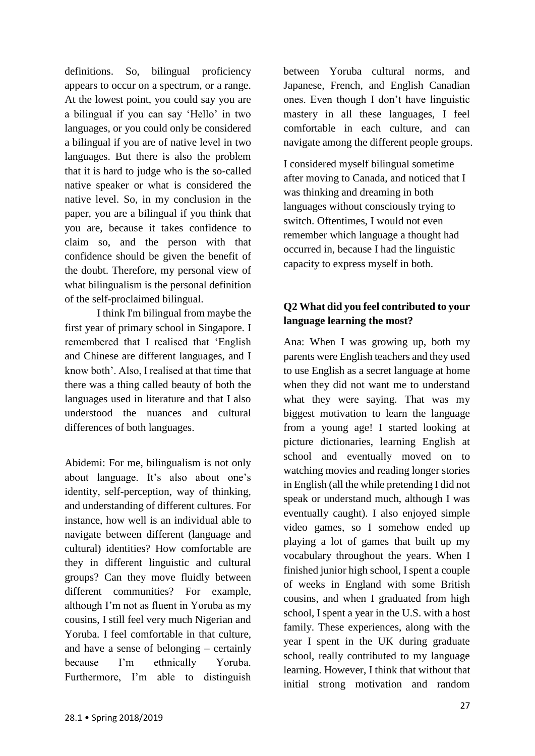definitions. So, bilingual proficiency appears to occur on a spectrum, or a range. At the lowest point, you could say you are a bilingual if you can say 'Hello' in two languages, or you could only be considered a bilingual if you are of native level in two languages. But there is also the problem that it is hard to judge who is the so-called native speaker or what is considered the native level. So, in my conclusion in the paper, you are a bilingual if you think that you are, because it takes confidence to claim so, and the person with that confidence should be given the benefit of the doubt. Therefore, my personal view of what bilingualism is the personal definition of the self-proclaimed bilingual.

I think I'm bilingual from maybe the first year of primary school in Singapore. I remembered that I realised that 'English and Chinese are different languages, and I know both'. Also, I realised at that time that there was a thing called beauty of both the languages used in literature and that I also understood the nuances and cultural differences of both languages.

Abidemi: For me, bilingualism is not only about language. It's also about one's identity, self-perception, way of thinking, and understanding of different cultures. For instance, how well is an individual able to navigate between different (language and cultural) identities? How comfortable are they in different linguistic and cultural groups? Can they move fluidly between different communities? For example, although I'm not as fluent in Yoruba as my cousins, I still feel very much Nigerian and Yoruba. I feel comfortable in that culture, and have a sense of belonging – certainly because I'm ethnically Yoruba. Furthermore, I'm able to distinguish

between Yoruba cultural norms, and Japanese, French, and English Canadian ones. Even though I don't have linguistic mastery in all these languages, I feel comfortable in each culture, and can navigate among the different people groups.

I considered myself bilingual sometime after moving to Canada, and noticed that I was thinking and dreaming in both languages without consciously trying to switch. Oftentimes, I would not even remember which language a thought had occurred in, because I had the linguistic capacity to express myself in both.

# **Q2 What did you feel contributed to your language learning the most?**

Ana: When I was growing up, both my parents were English teachers and they used to use English as a secret language at home when they did not want me to understand what they were saying. That was my biggest motivation to learn the language from a young age! I started looking at picture dictionaries, learning English at school and eventually moved on to watching movies and reading longer stories in English (all the while pretending I did not speak or understand much, although I was eventually caught). I also enjoyed simple video games, so I somehow ended up playing a lot of games that built up my vocabulary throughout the years. When I finished junior high school, I spent a couple of weeks in England with some British cousins, and when I graduated from high school, I spent a year in the U.S. with a host family. These experiences, along with the year I spent in the UK during graduate school, really contributed to my language learning. However, I think that without that initial strong motivation and random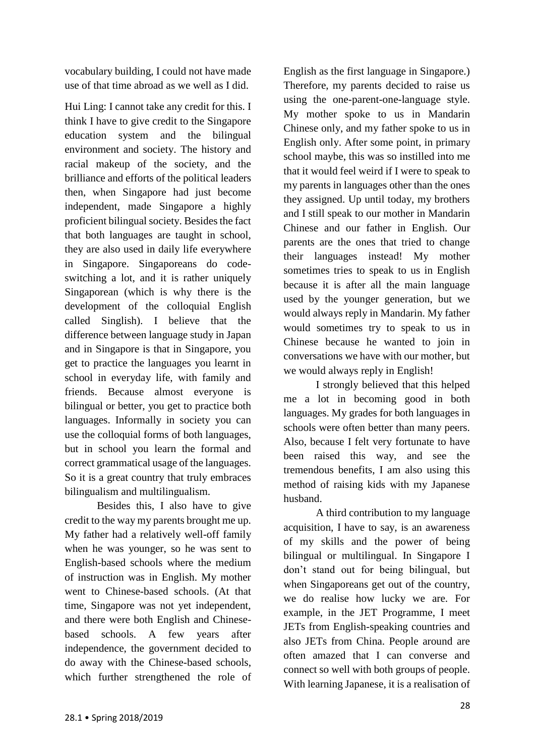vocabulary building, I could not have made use of that time abroad as we well as I did.

Hui Ling: I cannot take any credit for this. I think I have to give credit to the Singapore education system and the bilingual environment and society. The history and racial makeup of the society, and the brilliance and efforts of the political leaders then, when Singapore had just become independent, made Singapore a highly proficient bilingual society. Besides the fact that both languages are taught in school, they are also used in daily life everywhere in Singapore. Singaporeans do codeswitching a lot, and it is rather uniquely Singaporean (which is why there is the development of the colloquial English called Singlish). I believe that the difference between language study in Japan and in Singapore is that in Singapore, you get to practice the languages you learnt in school in everyday life, with family and friends. Because almost everyone is bilingual or better, you get to practice both languages. Informally in society you can use the colloquial forms of both languages, but in school you learn the formal and correct grammatical usage of the languages. So it is a great country that truly embraces bilingualism and multilingualism.

Besides this, I also have to give credit to the way my parents brought me up. My father had a relatively well-off family when he was younger, so he was sent to English-based schools where the medium of instruction was in English. My mother went to Chinese-based schools. (At that time, Singapore was not yet independent, and there were both English and Chinesebased schools. A few years after independence, the government decided to do away with the Chinese-based schools, which further strengthened the role of English as the first language in Singapore.) Therefore, my parents decided to raise us using the one-parent-one-language style. My mother spoke to us in Mandarin Chinese only, and my father spoke to us in English only. After some point, in primary school maybe, this was so instilled into me that it would feel weird if I were to speak to my parents in languages other than the ones they assigned. Up until today, my brothers and I still speak to our mother in Mandarin Chinese and our father in English. Our parents are the ones that tried to change their languages instead! My mother sometimes tries to speak to us in English because it is after all the main language used by the younger generation, but we would always reply in Mandarin. My father would sometimes try to speak to us in Chinese because he wanted to join in conversations we have with our mother, but we would always reply in English!

I strongly believed that this helped me a lot in becoming good in both languages. My grades for both languages in schools were often better than many peers. Also, because I felt very fortunate to have been raised this way, and see the tremendous benefits, I am also using this method of raising kids with my Japanese husband.

A third contribution to my language acquisition, I have to say, is an awareness of my skills and the power of being bilingual or multilingual. In Singapore I don't stand out for being bilingual, but when Singaporeans get out of the country, we do realise how lucky we are. For example, in the JET Programme, I meet JETs from English-speaking countries and also JETs from China. People around are often amazed that I can converse and connect so well with both groups of people. With learning Japanese, it is a realisation of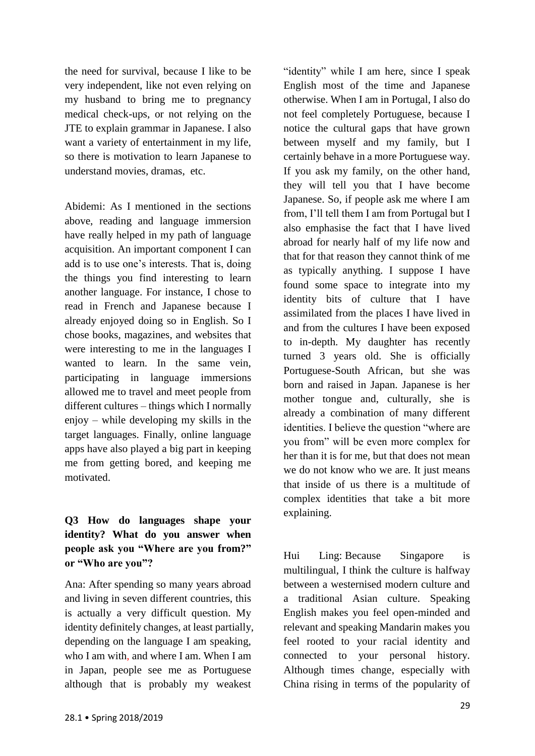the need for survival, because I like to be very independent, like not even relying on my husband to bring me to pregnancy medical check-ups, or not relying on the JTE to explain grammar in Japanese. I also want a variety of entertainment in my life, so there is motivation to learn Japanese to understand movies, dramas, etc.

Abidemi: As I mentioned in the sections above, reading and language immersion have really helped in my path of language acquisition. An important component I can add is to use one's interests. That is, doing the things you find interesting to learn another language. For instance, I chose to read in French and Japanese because I already enjoyed doing so in English. So I chose books, magazines, and websites that were interesting to me in the languages I wanted to learn. In the same vein, participating in language immersions allowed me to travel and meet people from different cultures – things which I normally enjoy – while developing my skills in the target languages. Finally, online language apps have also played a big part in keeping me from getting bored, and keeping me motivated.

# **Q3 How do languages shape your identity? What do you answer when people ask you "Where are you from?" or "Who are you"?**

Ana: After spending so many years abroad and living in seven different countries, this is actually a very difficult question. My identity definitely changes, at least partially, depending on the language I am speaking, who I am with, and where I am. When I am in Japan, people see me as Portuguese although that is probably my weakest

"identity" while I am here, since I speak English most of the time and Japanese otherwise. When I am in Portugal, I also do not feel completely Portuguese, because I notice the cultural gaps that have grown between myself and my family, but I certainly behave in a more Portuguese way. If you ask my family, on the other hand, they will tell you that I have become Japanese. So, if people ask me where I am from, I'll tell them I am from Portugal but I also emphasise the fact that I have lived abroad for nearly half of my life now and that for that reason they cannot think of me as typically anything. I suppose I have found some space to integrate into my identity bits of culture that I have assimilated from the places I have lived in and from the cultures I have been exposed to in-depth. My daughter has recently turned 3 years old. She is officially Portuguese-South African, but she was born and raised in Japan. Japanese is her mother tongue and, culturally, she is already a combination of many different identities. I believe the question "where are you from" will be even more complex for her than it is for me, but that does not mean we do not know who we are. It just means that inside of us there is a multitude of complex identities that take a bit more explaining.

Hui Ling: Because Singapore is multilingual, I think the culture is halfway between a westernised modern culture and a traditional Asian culture. Speaking English makes you feel open-minded and relevant and speaking Mandarin makes you feel rooted to your racial identity and connected to your personal history. Although times change, especially with China rising in terms of the popularity of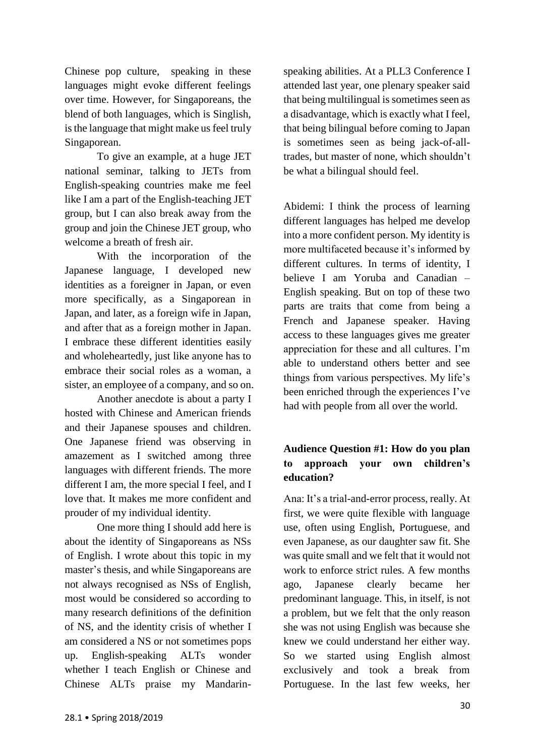Chinese pop culture, speaking in these languages might evoke different feelings over time. However, for Singaporeans, the blend of both languages, which is Singlish, is the language that might make us feel truly Singaporean.

To give an example, at a huge JET national seminar, talking to JETs from English-speaking countries make me feel like I am a part of the English-teaching JET group, but I can also break away from the group and join the Chinese JET group, who welcome a breath of fresh air.

With the incorporation of the Japanese language, I developed new identities as a foreigner in Japan, or even more specifically, as a Singaporean in Japan, and later, as a foreign wife in Japan, and after that as a foreign mother in Japan. I embrace these different identities easily and wholeheartedly, just like anyone has to embrace their social roles as a woman, a sister, an employee of a company, and so on.

Another anecdote is about a party I hosted with Chinese and American friends and their Japanese spouses and children. One Japanese friend was observing in amazement as I switched among three languages with different friends. The more different I am, the more special I feel, and I love that. It makes me more confident and prouder of my individual identity.

One more thing I should add here is about the identity of Singaporeans as NSs of English. I wrote about this topic in my master's thesis, and while Singaporeans are not always recognised as NSs of English, most would be considered so according to many research definitions of the definition of NS, and the identity crisis of whether I am considered a NS or not sometimes pops up. English-speaking ALTs wonder whether I teach English or Chinese and Chinese ALTs praise my Mandarinspeaking abilities. At a PLL3 Conference I attended last year, one plenary speaker said that being multilingual is sometimes seen as a disadvantage, which is exactly what I feel, that being bilingual before coming to Japan is sometimes seen as being jack-of-alltrades, but master of none, which shouldn't be what a bilingual should feel.

Abidemi: I think the process of learning different languages has helped me develop into a more confident person. My identity is more multifaceted because it's informed by different cultures. In terms of identity, I believe I am Yoruba and Canadian – English speaking. But on top of these two parts are traits that come from being a French and Japanese speaker. Having access to these languages gives me greater appreciation for these and all cultures. I'm able to understand others better and see things from various perspectives. My life's been enriched through the experiences I've had with people from all over the world.

# **Audience Question #1: How do you plan to approach your own children's education?**

Ana: It's a trial-and-error process, really. At first, we were quite flexible with language use, often using English, Portuguese, and even Japanese, as our daughter saw fit. She was quite small and we felt that it would not work to enforce strict rules. A few months ago, Japanese clearly became her predominant language. This, in itself, is not a problem, but we felt that the only reason she was not using English was because she knew we could understand her either way. So we started using English almost exclusively and took a break from Portuguese. In the last few weeks, her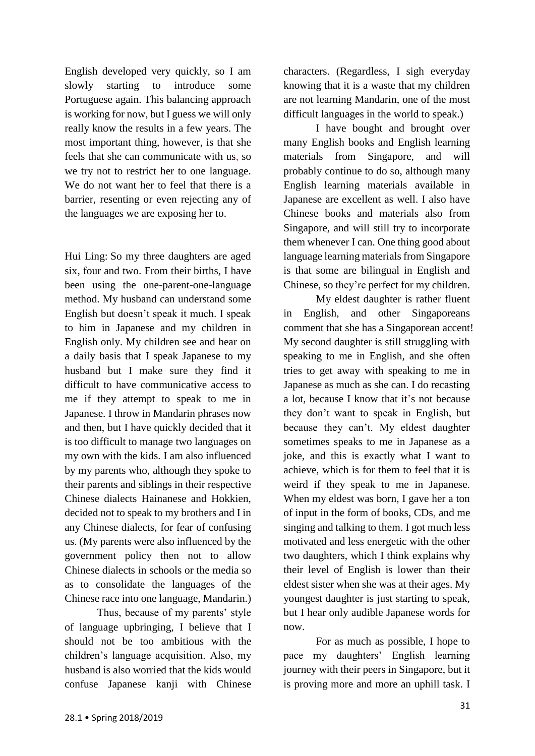English developed very quickly, so I am slowly starting to introduce some Portuguese again. This balancing approach is working for now, but I guess we will only really know the results in a few years. The most important thing, however, is that she feels that she can communicate with us, so we try not to restrict her to one language. We do not want her to feel that there is a barrier, resenting or even rejecting any of the languages we are exposing her to.

Hui Ling: So my three daughters are aged six, four and two. From their births, I have been using the one-parent-one-language method. My husband can understand some English but doesn't speak it much. I speak to him in Japanese and my children in English only. My children see and hear on a daily basis that I speak Japanese to my husband but I make sure they find it difficult to have communicative access to me if they attempt to speak to me in Japanese. I throw in Mandarin phrases now and then, but I have quickly decided that it is too difficult to manage two languages on my own with the kids. I am also influenced by my parents who, although they spoke to their parents and siblings in their respective Chinese dialects Hainanese and Hokkien, decided not to speak to my brothers and I in any Chinese dialects, for fear of confusing us. (My parents were also influenced by the government policy then not to allow Chinese dialects in schools or the media so as to consolidate the languages of the Chinese race into one language, Mandarin.)

Thus, because of my parents' style of language upbringing, I believe that I should not be too ambitious with the children's language acquisition. Also, my husband is also worried that the kids would confuse Japanese kanji with Chinese

characters. (Regardless, I sigh everyday knowing that it is a waste that my children are not learning Mandarin, one of the most difficult languages in the world to speak.)

I have bought and brought over many English books and English learning materials from Singapore, and will probably continue to do so, although many English learning materials available in Japanese are excellent as well. I also have Chinese books and materials also from Singapore, and will still try to incorporate them whenever I can. One thing good about language learning materials from Singapore is that some are bilingual in English and Chinese, so they're perfect for my children.

My eldest daughter is rather fluent in English, and other Singaporeans comment that she has a Singaporean accent! My second daughter is still struggling with speaking to me in English, and she often tries to get away with speaking to me in Japanese as much as she can. I do recasting a lot, because I know that it's not because they don't want to speak in English, but because they can't. My eldest daughter sometimes speaks to me in Japanese as a joke, and this is exactly what I want to achieve, which is for them to feel that it is weird if they speak to me in Japanese. When my eldest was born, I gave her a ton of input in the form of books, CDs, and me singing and talking to them. I got much less motivated and less energetic with the other two daughters, which I think explains why their level of English is lower than their eldest sister when she was at their ages. My youngest daughter is just starting to speak, but I hear only audible Japanese words for now.

For as much as possible, I hope to pace my daughters' English learning journey with their peers in Singapore, but it is proving more and more an uphill task. I